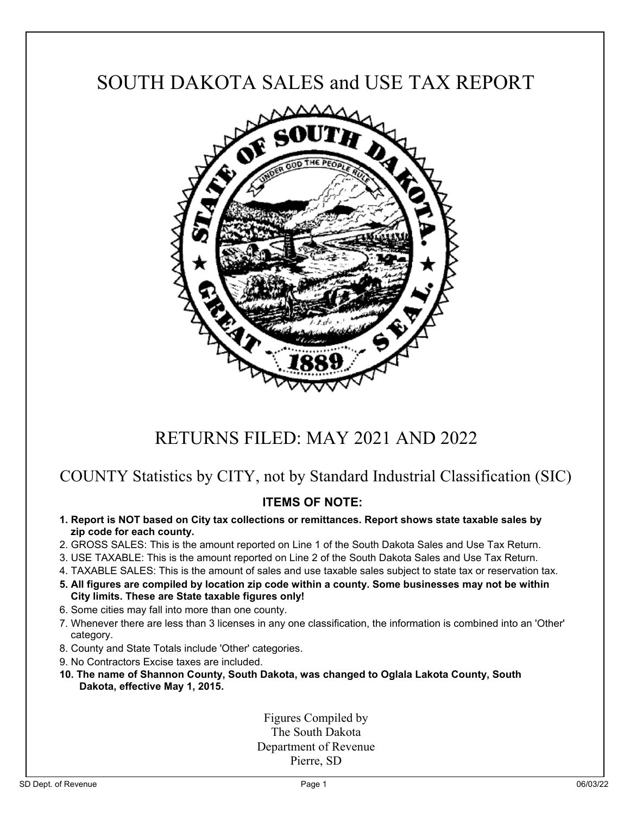# SOUTH DAKOTA SALES and USE TAX REPORT



## RETURNS FILED: MAY 2021 AND 2022

### COUNTY Statistics by CITY, not by Standard Industrial Classification (SIC)

### **ITEMS OF NOTE:**

- **1. Report is NOT based on City tax collections or remittances. Report shows state taxable sales by zip code for each county.**
- 2. GROSS SALES: This is the amount reported on Line 1 of the South Dakota Sales and Use Tax Return.
- 3. USE TAXABLE: This is the amount reported on Line 2 of the South Dakota Sales and Use Tax Return.
- 4. TAXABLE SALES: This is the amount of sales and use taxable sales subject to state tax or reservation tax.
- **5. All figures are compiled by location zip code within a county. Some businesses may not be within City limits. These are State taxable figures only!**
- 6. Some cities may fall into more than one county.
- 7. Whenever there are less than 3 licenses in any one classification, the information is combined into an 'Other' category.
- 8. County and State Totals include 'Other' categories.
- 9. No Contractors Excise taxes are included.
- **10. The name of Shannon County, South Dakota, was changed to Oglala Lakota County, South Dakota, effective May 1, 2015.**

Figures Compiled by The South Dakota Department of Revenue Pierre, SD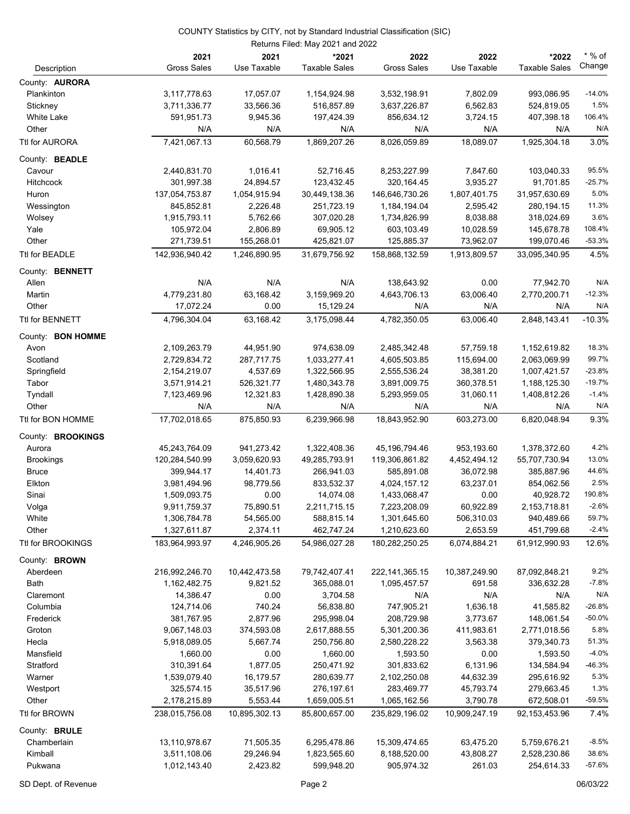|                       |                    |               | Returns Filed: May 2021 and 2022 |                    |               |                      |          |
|-----------------------|--------------------|---------------|----------------------------------|--------------------|---------------|----------------------|----------|
|                       | 2021               | 2021          | *2021                            | 2022               | 2022          | *2022                | $*$ % of |
| Description           | <b>Gross Sales</b> | Use Taxable   | <b>Taxable Sales</b>             | <b>Gross Sales</b> | Use Taxable   | <b>Taxable Sales</b> | Change   |
| County: <b>AURORA</b> |                    |               |                                  |                    |               |                      |          |
| Plankinton            | 3,117,778.63       | 17,057.07     | 1,154,924.98                     | 3,532,198.91       | 7,802.09      | 993,086.95           | $-14.0%$ |
| Stickney              | 3,711,336.77       | 33,566.36     | 516,857.89                       | 3,637,226.87       | 6,562.83      | 524,819.05           | 1.5%     |
| <b>White Lake</b>     | 591,951.73         | 9,945.36      | 197,424.39                       | 856,634.12         | 3,724.15      | 407,398.18           | 106.4%   |
| Other                 | N/A                | N/A           | N/A                              | N/A                | N/A           | N/A                  | N/A      |
| Ttl for AURORA        | 7,421,067.13       | 60,568.79     | 1,869,207.26                     | 8,026,059.89       | 18,089.07     | 1,925,304.18         | 3.0%     |
| County: BEADLE        |                    |               |                                  |                    |               |                      |          |
| Cavour                | 2,440,831.70       | 1,016.41      | 52,716.45                        | 8,253,227.99       | 7,847.60      | 103,040.33           | 95.5%    |
| <b>Hitchcock</b>      | 301,997.38         | 24,894.57     | 123,432.45                       | 320, 164.45        | 3,935.27      | 91,701.85            | $-25.7%$ |
| Huron                 | 137,054,753.87     | 1,054,915.94  | 30,449,138.36                    | 146,646,730.26     | 1,807,401.75  | 31,957,630.69        | 5.0%     |
| Wessington            | 845,852.81         | 2,226.48      | 251,723.19                       | 1,184,194.04       | 2,595.42      | 280,194.15           | 11.3%    |
| Wolsey                | 1,915,793.11       | 5,762.66      | 307,020.28                       | 1,734,826.99       | 8,038.88      | 318,024.69           | 3.6%     |
| Yale                  | 105,972.04         | 2,806.89      | 69,905.12                        | 603,103.49         | 10,028.59     | 145,678.78           | 108.4%   |
| Other                 | 271,739.51         | 155,268.01    | 425,821.07                       | 125,885.37         | 73,962.07     | 199,070.46           | $-53.3%$ |
| Ttl for BEADLE        | 142,936,940.42     | 1,246,890.95  | 31,679,756.92                    | 158,868,132.59     | 1,913,809.57  | 33,095,340.95        | 4.5%     |
| County: BENNETT       |                    |               |                                  |                    |               |                      |          |
| Allen                 | N/A                | N/A           | N/A                              | 138,643.92         | 0.00          | 77,942.70            | N/A      |
| Martin                | 4,779,231.80       | 63,168.42     | 3,159,969.20                     | 4,643,706.13       | 63,006.40     | 2,770,200.71         | $-12.3%$ |
| Other                 | 17,072.24          | 0.00          | 15,129.24                        | N/A                | N/A           | N/A                  | N/A      |
| Ttl for BENNETT       | 4,796,304.04       | 63,168.42     | 3,175,098.44                     | 4,782,350.05       | 63,006.40     | 2,848,143.41         | $-10.3%$ |
| County: BON HOMME     |                    |               |                                  |                    |               |                      |          |
| Avon                  | 2,109,263.79       | 44,951.90     | 974,638.09                       | 2,485,342.48       | 57,759.18     | 1,152,619.82         | 18.3%    |
| Scotland              | 2,729,834.72       | 287,717.75    | 1,033,277.41                     | 4,605,503.85       | 115,694.00    | 2,063,069.99         | 99.7%    |
| Springfield           | 2,154,219.07       | 4,537.69      | 1,322,566.95                     | 2,555,536.24       | 38,381.20     | 1,007,421.57         | $-23.8%$ |
| Tabor                 | 3,571,914.21       | 526,321.77    | 1,480,343.78                     | 3,891,009.75       | 360,378.51    | 1,188,125.30         | $-19.7%$ |
| Tyndall               | 7,123,469.96       | 12,321.83     | 1,428,890.38                     | 5,293,959.05       | 31,060.11     | 1,408,812.26         | $-1.4%$  |
| Other                 | N/A                | N/A           | N/A                              | N/A                | N/A           | N/A                  | N/A      |
| Ttl for BON HOMME     | 17,702,018.65      | 875,850.93    | 6,239,966.98                     | 18,843,952.90      | 603,273.00    | 6,820,048.94         | 9.3%     |
| County: BROOKINGS     |                    |               |                                  |                    |               |                      |          |
| Aurora                | 45,243,764.09      | 941,273.42    | 1,322,408.36                     | 45, 196, 794. 46   | 953,193.60    | 1,378,372.60         | 4.2%     |
| <b>Brookings</b>      | 120,284,540.99     | 3,059,620.93  | 49,285,793.91                    | 119,306,861.82     | 4,452,494.12  | 55,707,730.94        | 13.0%    |
| <b>Bruce</b>          | 399,944.17         | 14,401.73     | 266,941.03                       | 585,891.08         | 36,072.98     | 385,887.96           | 44.6%    |
| Elkton                | 3,981,494.96       | 98,779.56     | 833,532.37                       | 4,024,157.12       | 63,237.01     | 854,062.56           | 2.5%     |
| Sinai                 | 1,509,093.75       | 0.00          | 14,074.08                        | 1,433,068.47       | 0.00          | 40,928.72            | 190.8%   |
| Volga                 | 9,911,759.37       | 75,890.51     | 2,211,715.15                     | 7,223,208.09       | 60,922.89     | 2,153,718.81         | $-2.6%$  |
| White                 | 1,306,784.78       | 54,565.00     | 588,815.14                       | 1,301,645.60       | 506,310.03    | 940,489.66           | 59.7%    |
| Other                 | 1,327,611.87       | 2,374.11      | 462,747.24                       | 1,210,623.60       | 2,653.59      | 451,799.68           | $-2.4%$  |
| Ttl for BROOKINGS     | 183,964,993.97     | 4,246,905.26  | 54,986,027.28                    | 180,282,250.25     | 6,074,884.21  | 61,912,990.93        | 12.6%    |
| County: BROWN         |                    |               |                                  |                    |               |                      |          |
| Aberdeen              | 216,992,246.70     | 10,442,473.58 | 79,742,407.41                    | 222, 141, 365. 15  | 10,387,249.90 | 87,092,848.21        | 9.2%     |
| <b>Bath</b>           | 1,162,482.75       | 9,821.52      | 365,088.01                       | 1,095,457.57       | 691.58        | 336,632.28           | $-7.8%$  |
| Claremont             | 14,386.47          | 0.00          | 3,704.58                         | N/A                | N/A           | N/A                  | N/A      |
| Columbia              | 124,714.06         | 740.24        | 56,838.80                        | 747,905.21         | 1,636.18      | 41,585.82            | $-26.8%$ |
| Frederick             | 381,767.95         | 2,877.96      | 295,998.04                       | 208,729.98         | 3,773.67      | 148,061.54           | $-50.0%$ |
| Groton                | 9,067,148.03       | 374,593.08    | 2,617,888.55                     | 5,301,200.36       | 411,983.61    | 2,771,018.56         | 5.8%     |
| Hecla                 | 5,918,089.05       | 5,667.74      | 250,756.80                       | 2,580,228.22       | 3,563.38      | 379,340.73           | 51.3%    |
| Mansfield             | 1,660.00           | 0.00          | 1,660.00                         | 1,593.50           | 0.00          | 1,593.50             | $-4.0%$  |
| Stratford             | 310,391.64         | 1,877.05      | 250,471.92                       | 301,833.62         | 6,131.96      | 134,584.94           | $-46.3%$ |
| Warner                | 1,539,079.40       | 16,179.57     | 280,639.77                       | 2,102,250.08       | 44,632.39     | 295,616.92           | 5.3%     |
| Westport              | 325,574.15         | 35,517.96     | 276,197.61                       | 283,469.77         | 45,793.74     | 279,663.45           | 1.3%     |
| Other                 | 2,178,215.89       | 5,553.44      | 1,659,005.51                     | 1,065,162.56       | 3,790.78      | 672,508.01           | $-59.5%$ |
| Ttl for BROWN         | 238,015,756.08     | 10,895,302.13 | 85,800,657.00                    | 235,829,196.02     | 10,909,247.19 | 92, 153, 453. 96     | 7.4%     |
| County: BRULE         |                    |               |                                  |                    |               |                      |          |
| Chamberlain           | 13,110,978.67      | 71,505.35     | 6,295,478.86                     | 15,309,474.65      | 63,475.20     | 5,759,676.21         | $-8.5%$  |
| Kimball               | 3,511,108.06       | 29,246.94     | 1,823,565.60                     | 8,188,520.00       | 43,808.27     | 2,528,230.86         | 38.6%    |
| Pukwana               | 1,012,143.40       | 2,423.82      | 599,948.20                       | 905,974.32         | 261.03        | 254,614.33           | $-57.6%$ |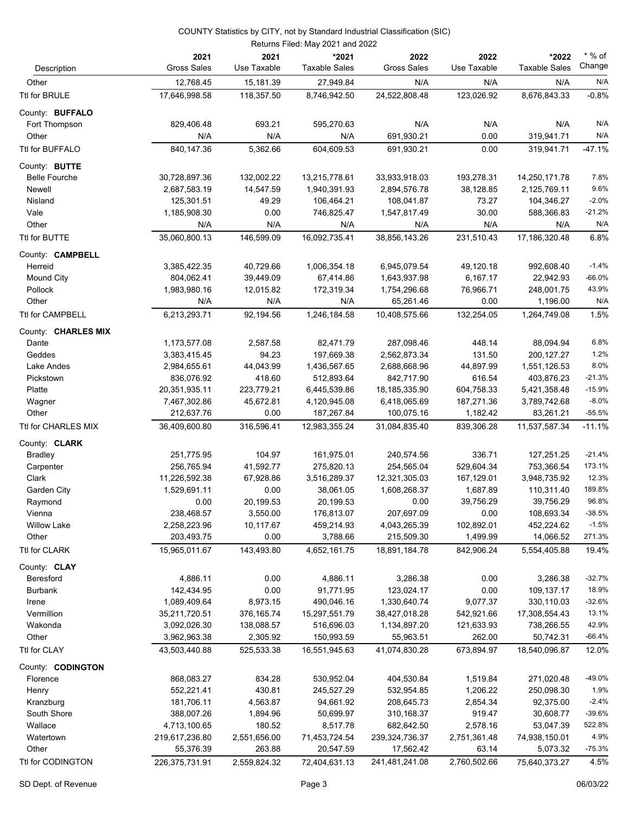|                               |                               |                          | Returns Filed: May 2021 and 2022 |                               |                          |                               |                    |
|-------------------------------|-------------------------------|--------------------------|----------------------------------|-------------------------------|--------------------------|-------------------------------|--------------------|
| Description                   | 2021<br><b>Gross Sales</b>    | 2021<br>Use Taxable      | *2021<br><b>Taxable Sales</b>    | 2022<br><b>Gross Sales</b>    | 2022<br>Use Taxable      | *2022<br><b>Taxable Sales</b> | $*$ % of<br>Change |
| Other                         | 12,768.45                     | 15,181.39                | 27,949.84                        | N/A                           | N/A                      | N/A                           | N/A                |
| Ttl for BRULE                 | 17,646,998.58                 | 118,357.50               | 8,746,942.50                     | 24,522,808.48                 | 123,026.92               | 8,676,843.33                  | $-0.8%$            |
| County: BUFFALO               |                               |                          |                                  |                               |                          |                               |                    |
| Fort Thompson                 | 829,406.48                    | 693.21                   | 595,270.63                       | N/A                           | N/A                      | N/A                           | N/A                |
| Other                         | N/A                           | N/A                      | N/A                              | 691,930.21                    | 0.00                     | 319,941.71                    | N/A                |
| Ttl for BUFFALO               | 840, 147.36                   | 5,362.66                 | 604,609.53                       | 691,930.21                    | 0.00                     | 319,941.71                    | $-47.1%$           |
| County: BUTTE                 |                               |                          |                                  |                               |                          |                               |                    |
| <b>Belle Fourche</b>          | 30,728,897.36                 | 132,002.22               | 13,215,778.61                    | 33,933,918.03                 | 193,278.31               | 14,250,171.78                 | 7.8%               |
| Newell                        | 2,687,583.19                  | 14,547.59                | 1,940,391.93                     | 2,894,576.78                  | 38,128.85                | 2,125,769.11                  | 9.6%               |
| Nisland                       | 125,301.51                    | 49.29                    | 106,464.21                       | 108,041.87                    | 73.27                    | 104,346.27                    | $-2.0%$            |
| Vale                          | 1,185,908.30                  | 0.00                     | 746,825.47                       | 1,547,817.49                  | 30.00                    | 588,366.83                    | $-21.2%$           |
| Other                         | N/A                           | N/A                      | N/A                              | N/A                           | N/A                      | N/A                           | N/A                |
| Ttl for BUTTE                 | 35,060,800.13                 | 146,599.09               | 16,092,735.41                    | 38,856,143.26                 | 231,510.43               | 17,186,320.48                 | 6.8%               |
| County: <b>CAMPBELL</b>       |                               |                          |                                  |                               |                          |                               |                    |
| Herreid                       | 3,385,422.35                  | 40,729.66                | 1,006,354.18                     | 6,945,079.54                  | 49,120.18                | 992,608.40                    | $-1.4%$            |
| <b>Mound City</b>             | 804,062.41                    | 39,449.09                | 67,414.86                        | 1,643,937.98                  | 6,167.17                 | 22,942.93                     | $-66.0%$           |
| Pollock                       | 1,983,980.16                  | 12,015.82                | 172,319.34                       | 1,754,296.68                  | 76,966.71                | 248,001.75                    | 43.9%              |
| Other                         | N/A                           | N/A                      | N/A                              | 65,261.46                     | 0.00                     | 1,196.00                      | N/A                |
| <b>Ttl for CAMPBELL</b>       | 6,213,293.71                  | 92,194.56                | 1,246,184.58                     | 10,408,575.66                 | 132,254.05               | 1,264,749.08                  | 1.5%               |
| County: CHARLES MIX           |                               |                          |                                  |                               |                          |                               | 6.8%               |
| Dante<br>Geddes               | 1,173,577.08<br>3,383,415.45  | 2,587.58<br>94.23        | 82,471.79<br>197,669.38          | 287,098.46<br>2,562,873.34    | 448.14<br>131.50         | 88,094.94<br>200,127.27       | 1.2%               |
| Lake Andes                    | 2,984,655.61                  | 44,043.99                | 1,436,567.65                     | 2,688,668.96                  | 44,897.99                | 1,551,126.53                  | 8.0%               |
| Pickstown                     | 836,076.92                    | 418.60                   | 512,893.64                       | 842,717.90                    | 616.54                   | 403,876.23                    | $-21.3%$           |
| Platte                        | 20,351,935.11                 | 223,779.21               | 6,445,539.86                     | 18, 185, 335. 90              | 604,758.33               | 5,421,358.48                  | $-15.9%$           |
| Wagner                        | 7,467,302.86                  | 45,672.81                | 4,120,945.08                     | 6,418,065.69                  | 187,271.36               | 3,789,742.68                  | $-8.0%$            |
| Other                         | 212,637.76                    | 0.00                     | 187,267.84                       | 100,075.16                    | 1,182.42                 | 83,261.21                     | $-55.5%$           |
| Ttl for CHARLES MIX           | 36,409,600.80                 | 316,596.41               | 12,983,355.24                    | 31,084,835.40                 | 839,306.28               | 11,537,587.34                 | $-11.1%$           |
| County: CLARK                 |                               |                          |                                  |                               |                          |                               |                    |
| <b>Bradley</b>                | 251,775.95                    | 104.97                   | 161,975.01                       | 240,574.56                    | 336.71                   | 127,251.25                    | $-21.4%$           |
| Carpenter                     | 256,765.94                    | 41,592.77                | 275,820.13                       | 254,565.04                    | 529,604.34               | 753,366.54                    | 173.1%             |
| Clark                         | 11,226,592.38                 | 67,928.86                | 3,516,289.37                     | 12,321,305.03                 | 167,129.01               | 3,948,735.92                  | 12.3%              |
| Garden City                   | 1,529,691.11                  | 0.00                     | 38,061.05                        | 1,608,268.37                  | 1,687.89                 | 110,311.40                    | 189.8%             |
| Raymond                       | 0.00                          | 20,199.53                | 20,199.53                        | 0.00                          | 39,756.29                | 39,756.29                     | 96.8%              |
| Vienna                        | 238,468.57                    | 3,550.00                 | 176,813.07                       | 207,697.09                    | 0.00                     | 108,693.34                    | $-38.5%$           |
| <b>Willow Lake</b>            | 2,258,223.96                  | 10,117.67                | 459,214.93                       | 4,043,265.39                  | 102,892.01               | 452,224.62                    | $-1.5%$            |
| Other                         | 203,493.75                    | 0.00                     | 3,788.66                         | 215,509.30                    | 1,499.99                 | 14,066.52                     | 271.3%             |
| Ttl for CLARK                 | 15,965,011.67                 | 143,493.80               | 4,652,161.75                     | 18,891,184.78                 | 842,906.24               | 5,554,405.88                  | 19.4%              |
| County: CLAY                  |                               |                          |                                  |                               |                          |                               |                    |
| Beresford                     | 4,886.11                      | 0.00                     | 4,886.11                         | 3,286.38                      | 0.00                     | 3,286.38                      | $-32.7%$           |
| <b>Burbank</b>                | 142,434.95                    | 0.00                     | 91,771.95                        | 123,024.17                    | 0.00                     | 109,137.17                    | 18.9%              |
| Irene                         | 1,089,409.64                  | 8,973.15                 | 490,046.16                       | 1,330,640.74                  | 9,077.37                 | 330,110.03                    | $-32.6%$           |
| Vermillion<br>Wakonda         | 35,211,720.51<br>3,092,026.30 | 376,165.74<br>138,088.57 | 15,297,551.79<br>516,696.03      | 38,427,018.28<br>1,134,897.20 | 542,921.66<br>121,633.93 | 17,308,554.43<br>738,266.55   | 13.1%<br>42.9%     |
| Other                         | 3,962,963.38                  | 2,305.92                 | 150,993.59                       | 55,963.51                     | 262.00                   | 50,742.31                     | $-66.4%$           |
| Ttl for CLAY                  | 43,503,440.88                 | 525,533.38               | 16,551,945.63                    | 41,074,830.28                 | 673,894.97               | 18,540,096.87                 | 12.0%              |
|                               |                               |                          |                                  |                               |                          |                               |                    |
| County: CODINGTON<br>Florence | 868,083.27                    | 834.28                   | 530,952.04                       | 404,530.84                    | 1,519.84                 | 271,020.48                    | $-49.0%$           |
| Henry                         | 552,221.41                    | 430.81                   | 245,527.29                       | 532,954.85                    | 1,206.22                 | 250,098.30                    | 1.9%               |
| Kranzburg                     | 181,706.11                    | 4,563.87                 | 94,661.92                        | 208,645.73                    | 2,854.34                 | 92,375.00                     | $-2.4%$            |
| South Shore                   | 388,007.26                    | 1,894.96                 | 50,699.97                        | 310,168.37                    | 919.47                   | 30,608.77                     | $-39.6%$           |
| Wallace                       | 4,713,100.65                  | 180.52                   | 8,517.78                         | 682,642.50                    | 2,578.16                 | 53,047.39                     | 522.8%             |
| Watertown                     | 219,617,236.80                | 2,551,656.00             | 71,453,724.54                    | 239,324,736.37                | 2,751,361.48             | 74,938,150.01                 | 4.9%               |
| Other                         | 55,376.39                     | 263.88                   | 20,547.59                        | 17,562.42                     | 63.14                    | 5,073.32                      | $-75.3%$           |
| Ttl for CODINGTON             | 226,375,731.91                | 2,559,824.32             | 72,404,631.13                    | 241,481,241.08                | 2,760,502.66             | 75,640,373.27                 | 4.5%               |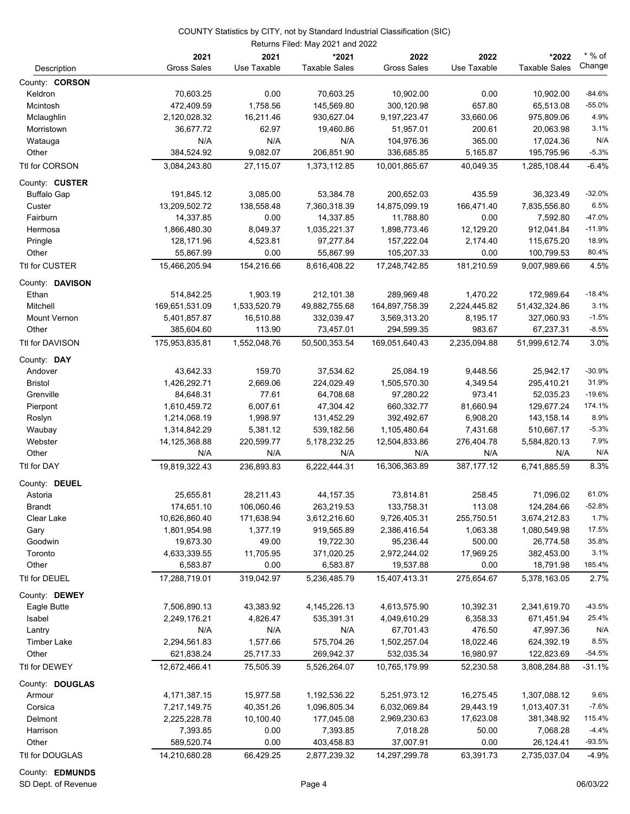|                       |                    |              | Returns Filed: May 2021 and 2022 |                              |              |                      |          |
|-----------------------|--------------------|--------------|----------------------------------|------------------------------|--------------|----------------------|----------|
|                       | 2021               | 2021         | *2021                            | 2022                         | 2022         | *2022                | $*$ % of |
| Description           | <b>Gross Sales</b> | Use Taxable  | <b>Taxable Sales</b>             | <b>Gross Sales</b>           | Use Taxable  | <b>Taxable Sales</b> | Change   |
| County: <b>CORSON</b> |                    |              |                                  |                              |              |                      |          |
| Keldron               | 70,603.25          | 0.00         | 70,603.25                        | 10,902.00                    | 0.00         | 10,902.00            | $-84.6%$ |
| Mcintosh              | 472,409.59         | 1,758.56     | 145,569.80                       | 300,120.98                   | 657.80       | 65,513.08            | $-55.0%$ |
| Mclaughlin            | 2,120,028.32       | 16,211.46    | 930,627.04                       | 9,197,223.47                 | 33,660.06    | 975,809.06           | 4.9%     |
| Morristown            | 36,677.72          | 62.97        | 19,460.86                        | 51,957.01                    | 200.61       | 20,063.98            | 3.1%     |
| Watauga               | N/A                | N/A          | N/A                              | 104,976.36                   | 365.00       | 17,024.36            | N/A      |
| Other                 | 384,524.92         | 9,082.07     | 206,851.90                       | 336,685.85                   | 5,165.87     | 195,795.96           | $-5.3%$  |
| Ttl for CORSON        | 3,084,243.80       | 27,115.07    | 1,373,112.85                     | 10,001,865.67                | 40,049.35    | 1,285,108.44         | $-6.4%$  |
|                       |                    |              |                                  |                              |              |                      |          |
| County: CUSTER        |                    |              |                                  |                              |              |                      | $-32.0%$ |
| <b>Buffalo Gap</b>    | 191,845.12         | 3,085.00     | 53,384.78                        | 200,652.03                   | 435.59       | 36,323.49            | 6.5%     |
| Custer                | 13,209,502.72      | 138,558.48   | 7,360,318.39                     | 14,875,099.19                | 166,471.40   | 7,835,556.80         | $-47.0%$ |
| Fairburn              | 14,337.85          | 0.00         | 14,337.85                        | 11,788.80                    | 0.00         | 7,592.80             |          |
| Hermosa               | 1,866,480.30       | 8,049.37     | 1,035,221.37                     | 1,898,773.46                 | 12,129.20    | 912,041.84           | $-11.9%$ |
| Pringle               | 128,171.96         | 4,523.81     | 97,277.84                        | 157,222.04                   | 2,174.40     | 115,675.20           | 18.9%    |
| Other                 | 55,867.99          | 0.00         | 55,867.99                        | 105,207.33                   | 0.00         | 100,799.53           | 80.4%    |
| Ttl for CUSTER        | 15,466,205.94      | 154,216.66   | 8,616,408.22                     | 17,248,742.85                | 181,210.59   | 9,007,989.66         | 4.5%     |
| County: DAVISON       |                    |              |                                  |                              |              |                      |          |
| Ethan                 | 514,842.25         | 1,903.19     | 212,101.38                       | 289,969.48                   | 1,470.22     | 172,989.64           | $-18.4%$ |
| Mitchell              | 169,651,531.09     | 1,533,520.79 | 49,882,755.68                    | 164,897,758.39               | 2,224,445.82 | 51,432,324.86        | 3.1%     |
| Mount Vernon          | 5,401,857.87       | 16,510.88    | 332,039.47                       | 3,569,313.20                 | 8,195.17     | 327,060.93           | $-1.5%$  |
| Other                 | 385,604.60         | 113.90       | 73,457.01                        | 294,599.35                   | 983.67       | 67,237.31            | $-8.5%$  |
| Ttl for DAVISON       | 175,953,835.81     | 1,552,048.76 | 50,500,353.54                    | 169,051,640.43               | 2,235,094.88 | 51,999,612.74        | 3.0%     |
| County: DAY           |                    |              |                                  |                              |              |                      |          |
| Andover               | 43,642.33          | 159.70       | 37,534.62                        | 25,084.19                    | 9,448.56     | 25,942.17            | $-30.9%$ |
| <b>Bristol</b>        | 1,426,292.71       | 2,669.06     | 224,029.49                       | 1,505,570.30                 | 4,349.54     | 295,410.21           | 31.9%    |
| Grenville             | 84,648.31          | 77.61        | 64,708.68                        | 97,280.22                    | 973.41       | 52,035.23            | $-19.6%$ |
| Pierpont              | 1,610,459.72       | 6,007.61     | 47,304.42                        | 660,332.77                   | 81,660.94    | 129,677.24           | 174.1%   |
| Roslyn                | 1,214,068.19       | 1,998.97     | 131,452.29                       | 392,492.67                   | 6,908.20     | 143,158.14           | 8.9%     |
| Waubay                | 1,314,842.29       | 5,381.12     | 539,182.56                       | 1,105,480.64                 | 7,431.68     | 510,667.17           | $-5.3%$  |
| Webster               | 14, 125, 368.88    | 220,599.77   | 5,178,232.25                     | 12,504,833.86                | 276,404.78   | 5,584,820.13         | 7.9%     |
| Other                 | N/A                | N/A          | N/A                              | N/A                          | N/A          | N/A                  | N/A      |
| Ttl for DAY           | 19,819,322.43      | 236,893.83   | 6,222,444.31                     | 16,306,363.89                | 387, 177. 12 | 6,741,885.59         | 8.3%     |
| County: DEUEL         |                    |              |                                  |                              |              |                      |          |
| Astoria               | 25,655.81          | 28,211.43    | 44, 157. 35                      | 73,814.81                    | 258.45       | 71,096.02            | 61.0%    |
| <b>Brandt</b>         | 174,651.10         | 106,060.46   | 263,219.53                       | 133,758.31                   | 113.08       | 124,284.66           | $-52.8%$ |
| Clear Lake            | 10,626,860.40      | 171,638.94   | 3,612,216.60                     | 9,726,405.31                 | 255,750.51   | 3,674,212.83         | 1.7%     |
| Gary                  | 1,801,954.98       | 1,377.19     | 919,565.89                       | 2,386,416.54                 | 1,063.38     | 1,080,549.98         | 17.5%    |
| Goodwin               | 19,673.30          | 49.00        | 19,722.30                        | 95,236.44                    | 500.00       | 26,774.58            | 35.8%    |
| Toronto               | 4,633,339.55       | 11,705.95    | 371,020.25                       | 2,972,244.02                 | 17,969.25    | 382,453.00           | 3.1%     |
| Other                 | 6,583.87           | 0.00         | 6,583.87                         | 19,537.88                    | 0.00         | 18,791.98            | 185.4%   |
| Ttl for DEUEL         | 17,288,719.01      | 319,042.97   | 5,236,485.79                     | 15,407,413.31                | 275,654.67   | 5,378,163.05         | 2.7%     |
|                       |                    |              |                                  |                              |              |                      |          |
| County: DEWEY         |                    |              |                                  |                              |              |                      | $-43.5%$ |
| Eagle Butte           | 7,506,890.13       | 43,383.92    | 4, 145, 226. 13                  | 4,613,575.90<br>4,049,610.29 | 10,392.31    | 2,341,619.70         | 25.4%    |
| Isabel                | 2,249,176.21       | 4,826.47     | 535,391.31                       |                              | 6,358.33     | 671,451.94           | N/A      |
| Lantry                | N/A                | N/A          | N/A                              | 67,701.43                    | 476.50       | 47,997.36            |          |
| <b>Timber Lake</b>    | 2,294,561.83       | 1,577.66     | 575,704.26                       | 1,502,257.04                 | 18,022.46    | 624,392.19           | 8.5%     |
| Other                 | 621,838.24         | 25,717.33    | 269,942.37                       | 532,035.34                   | 16,980.97    | 122,823.69           | $-54.5%$ |
| Ttl for DEWEY         | 12,672,466.41      | 75,505.39    | 5,526,264.07                     | 10,765,179.99                | 52,230.58    | 3,808,284.88         | $-31.1%$ |
| County: DOUGLAS       |                    |              |                                  |                              |              |                      |          |
| Armour                | 4,171,387.15       | 15,977.58    | 1,192,536.22                     | 5,251,973.12                 | 16,275.45    | 1,307,088.12         | 9.6%     |
| Corsica               | 7,217,149.75       | 40,351.26    | 1,096,805.34                     | 6,032,069.84                 | 29,443.19    | 1,013,407.31         | $-7.6%$  |
| Delmont               | 2,225,228.78       | 10,100.40    | 177,045.08                       | 2,969,230.63                 | 17,623.08    | 381,348.92           | 115.4%   |
| Harrison              | 7,393.85           | 0.00         | 7,393.85                         | 7,018.28                     | 50.00        | 7,068.28             | $-4.4%$  |
| Other                 | 589,520.74         | 0.00         | 403,458.83                       | 37,007.91                    | 0.00         | 26,124.41            | $-93.5%$ |
| Ttl for DOUGLAS       | 14,210,680.28      | 66,429.25    | 2,877,239.32                     | 14,297,299.78                | 63,391.73    | 2,735,037.04         | $-4.9%$  |

#### County: **EDMUNDS**

SD Dept. of Revenue **Page 4** 06/03/22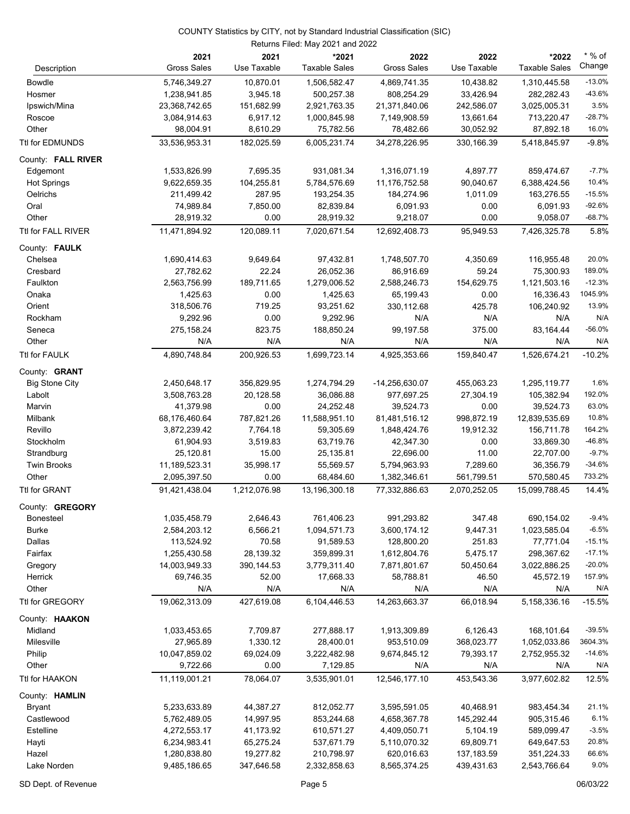| 10,870.01<br>10,438.82<br>$-13.0%$<br><b>Bowdle</b><br>5,746,349.27<br>1,506,582.47<br>4,869,741.35<br>1,310,445.58<br>$-43.6%$<br>1,238,941.85<br>3,945.18<br>500,257.38<br>808,254.29<br>33,426.94<br>282,282.43<br>Hosmer<br>3.5%<br>151,682.99<br>2,921,763.35<br>21,371,840.06<br>242,586.07<br>Ipswich/Mina<br>23,368,742.65<br>3,025,005.31<br>$-28.7%$<br>3,084,914.63<br>6,917.12<br>1,000,845.98<br>7,149,908.59<br>13,661.64<br>713,220.47<br>Roscoe<br>Other<br>98,004.91<br>8,610.29<br>75,782.56<br>78,482.66<br>30,052.92<br>87,892.18<br>6,005,231.74<br>33,536,953.31<br>182,025.59<br>34,278,226.95<br>330,166.39<br>5,418,845.97<br>931,081.34<br>4,897.77<br>Edgemont<br>1,533,826.99<br>7,695.35<br>1,316,071.19<br>859,474.67<br>104,255.81<br>5,784,576.69<br>90,040.67<br><b>Hot Springs</b><br>9,622,659.35<br>11,176,752.58<br>6,388,424.56<br>287.95<br>1,011.09<br>Oelrichs<br>211,499.42<br>193,254.35<br>184,274.96<br>163,276.55<br>Oral<br>7,850.00<br>82,839.84<br>74,989.84<br>6,091.93<br>0.00<br>6,091.93<br>0.00<br>Other<br>28,919.32<br>0.00<br>28,919.32<br>9,218.07<br>9,058.07<br>Ttl for FALL RIVER<br>11,471,894.92<br>120,089.11<br>95,949.53<br>7,020,671.54<br>12,692,408.73<br>7,426,325.78<br>1,690,414.63<br>9,649.64<br>97,432.81<br>1,748,507.70<br>4,350.69<br>Chelsea<br>116,955.48<br>59.24<br>27,782.62<br>22.24<br>26,052.36<br>86,916.69<br>Cresbard<br>75,300.93<br>154,629.75<br>Faulkton<br>2,563,756.99<br>189,711.65<br>1,279,006.52<br>2,588,246.73<br>1,121,503.16<br>1,425.63<br>0.00<br>1,425.63<br>0.00<br>Onaka<br>65,199.43<br>16,336.43<br>Orient<br>318,506.76<br>719.25<br>93,251.62<br>330,112.68<br>425.78<br>106,240.92<br>0.00<br>9,292.96<br>N/A<br>N/A<br>Rockham<br>9,292.96<br>N/A<br>275,158.24<br>823.75<br>188,850.24<br>375.00<br>Seneca<br>99,197.58<br>83,164.44<br>N/A<br>Other<br>N/A<br>N/A<br>N/A<br>N/A<br>N/A<br>4,890,748.84<br>200,926.53<br>1,699,723.14<br>4,925,353.66<br>159,840.47<br>1,526,674.21<br><b>Big Stone City</b><br>2,450,648.17<br>356,829.95<br>1,274,794.29<br>-14,256,630.07<br>455,063.23<br>1,295,119.77<br>36,086.88<br>27,304.19<br>Labolt<br>3,508,763.28<br>20,128.58<br>977,697.25<br>105,382.94<br>41,379.98<br>0.00<br>24,252.48<br>0.00<br>Marvin<br>39,524.73<br>39,524.73<br>787,821.26<br>11,588,951.10<br>998,872.19<br>Milbank<br>68,176,460.64<br>81,481,516.12<br>12,839,535.69<br>Revillo<br>3,872,239.42<br>7,764.18<br>59,305.69<br>1,848,424.76<br>19,912.32<br>156,711.78<br>3,519.83<br>63,719.76<br>0.00<br>Stockholm<br>61,904.93<br>42,347.30<br>33,869.30<br>25,120.81<br>15.00<br>25,135.81<br>22,696.00<br>11.00<br>22,707.00<br>Strandburg<br><b>Twin Brooks</b><br>11,189,523.31<br>35,998.17<br>55,569.57<br>5,794,963.93<br>7,289.60<br>36,356.79<br>Other<br>2,095,397.50<br>0.00<br>68,484.60<br>561,799.51<br>570,580.45<br>1,382,346.61<br>91,421,438.04<br>1,212,076.98<br>13,196,300.18<br>77,332,886.63<br>2,070,252.05<br>15,099,788.45<br>County: GREGORY<br>1,035,458.79<br>2,646.43<br>761,406.23<br>991,293.82<br>347.48<br>690,154.02<br>Bonesteel<br><b>Burke</b><br>6,566.21<br>1,094,571.73<br>9,447.31<br>2,584,203.12<br>3,600,174.12<br>1,023,585.04<br>113,524.92<br>70.58<br>91,589.53<br>128,800.20<br>251.83<br>Dallas<br>77,771.04<br>28,139.32<br>359,899.31<br>5,475.17<br>Fairfax<br>1,255,430.58<br>1,612,804.76<br>298,367.62<br>14,003,949.33<br>390,144.53<br>3,779,311.40<br>7,871,801.67<br>50,450.64<br>3,022,886.25<br>Gregory<br>Herrick<br>69,746.35<br>52.00<br>17,668.33<br>58,788.81<br>46.50<br>45,572.19<br>Other<br>N/A<br>N/A<br>N/A<br>N/A<br>N/A<br>N/A<br>19,062,313.09<br>6,104,446.53<br>14,263,663.37<br>66,018.94<br>427,619.08<br>5,158,336.16<br>6,126.43<br>Midland<br>1,033,453.65<br>7,709.87<br>277,888.17<br>1,913,309.89<br>168,101.64<br>1,330.12<br>Milesville<br>27,965.89<br>28,400.01<br>953,510.09<br>368,023.77<br>1,052,033.86<br>Philip<br>10,047,859.02<br>69,024.09<br>3,222,482.98<br>9,674,845.12<br>79,393.17<br>2,752,955.32<br>9,722.66<br>0.00<br>Other<br>7,129.85<br>N/A<br>N/A<br>N/A<br>78,064.07<br>3,535,901.01<br>12,546,177.10<br>453,543.36<br>3,977,602.82<br>11,119,001.21<br>County: HAMLIN<br>44,387.27<br>5,233,633.89<br>812,052.77<br>3,595,591.05<br>40,468.91<br>983,454.34<br><b>Bryant</b><br>Castlewood<br>5,762,489.05<br>14,997.95<br>853,244.68<br>4,658,367.78<br>145,292.44<br>905,315.46<br>Estelline<br>4,272,553.17<br>41,173.92<br>610,571.27<br>4,409,050.71<br>5,104.19<br>589,099.47<br>Hayti<br>6,234,983.41<br>65,275.24<br>537,671.79<br>5,110,070.32<br>69,809.71<br>649,647.53<br>Hazel<br>1,280,838.80<br>19,277.82<br>210,798.97<br>620,016.63<br>137,183.59<br>351,224.33<br>Lake Norden<br>9,485,186.65<br>347,646.58<br>2,332,858.63<br>8,565,374.25<br>439,431.63<br>2,543,766.64 |                    | 2021<br><b>Gross Sales</b> | 2021<br>Use Taxable | *2021<br><b>Taxable Sales</b> | 2022<br><b>Gross Sales</b> | 2022<br>Use Taxable | *2022<br><b>Taxable Sales</b> | $*$ % of<br>Change |
|---------------------------------------------------------------------------------------------------------------------------------------------------------------------------------------------------------------------------------------------------------------------------------------------------------------------------------------------------------------------------------------------------------------------------------------------------------------------------------------------------------------------------------------------------------------------------------------------------------------------------------------------------------------------------------------------------------------------------------------------------------------------------------------------------------------------------------------------------------------------------------------------------------------------------------------------------------------------------------------------------------------------------------------------------------------------------------------------------------------------------------------------------------------------------------------------------------------------------------------------------------------------------------------------------------------------------------------------------------------------------------------------------------------------------------------------------------------------------------------------------------------------------------------------------------------------------------------------------------------------------------------------------------------------------------------------------------------------------------------------------------------------------------------------------------------------------------------------------------------------------------------------------------------------------------------------------------------------------------------------------------------------------------------------------------------------------------------------------------------------------------------------------------------------------------------------------------------------------------------------------------------------------------------------------------------------------------------------------------------------------------------------------------------------------------------------------------------------------------------------------------------------------------------------------------------------------------------------------------------------------------------------------------------------------------------------------------------------------------------------------------------------------------------------------------------------------------------------------------------------------------------------------------------------------------------------------------------------------------------------------------------------------------------------------------------------------------------------------------------------------------------------------------------------------------------------------------------------------------------------------------------------------------------------------------------------------------------------------------------------------------------------------------------------------------------------------------------------------------------------------------------------------------------------------------------------------------------------------------------------------------------------------------------------------------------------------------------------------------------------------------------------------------------------------------------------------------------------------------------------------------------------------------------------------------------------------------------------------------------------------------------------------------------------------------------------------------------------------------------------------------------------------------------------------------------------------------------------------------------------------------------------------------------------------------------------------------------------------------------------------------------------------------------------------------------------------------------------------------------------------------------------------------------------------------------------------------------------------------------------------------------------------------------------------------------------------------------------------------------------------------------------------------------------------------------------------------------------------------------|--------------------|----------------------------|---------------------|-------------------------------|----------------------------|---------------------|-------------------------------|--------------------|
|                                                                                                                                                                                                                                                                                                                                                                                                                                                                                                                                                                                                                                                                                                                                                                                                                                                                                                                                                                                                                                                                                                                                                                                                                                                                                                                                                                                                                                                                                                                                                                                                                                                                                                                                                                                                                                                                                                                                                                                                                                                                                                                                                                                                                                                                                                                                                                                                                                                                                                                                                                                                                                                                                                                                                                                                                                                                                                                                                                                                                                                                                                                                                                                                                                                                                                                                                                                                                                                                                                                                                                                                                                                                                                                                                                                                                                                                                                                                                                                                                                                                                                                                                                                                                                                                                                                                                                                                                                                                                                                                                                                                                                                                                                                                                                                                                                                               | Description        |                            |                     |                               |                            |                     |                               |                    |
|                                                                                                                                                                                                                                                                                                                                                                                                                                                                                                                                                                                                                                                                                                                                                                                                                                                                                                                                                                                                                                                                                                                                                                                                                                                                                                                                                                                                                                                                                                                                                                                                                                                                                                                                                                                                                                                                                                                                                                                                                                                                                                                                                                                                                                                                                                                                                                                                                                                                                                                                                                                                                                                                                                                                                                                                                                                                                                                                                                                                                                                                                                                                                                                                                                                                                                                                                                                                                                                                                                                                                                                                                                                                                                                                                                                                                                                                                                                                                                                                                                                                                                                                                                                                                                                                                                                                                                                                                                                                                                                                                                                                                                                                                                                                                                                                                                                               |                    |                            |                     |                               |                            |                     |                               |                    |
|                                                                                                                                                                                                                                                                                                                                                                                                                                                                                                                                                                                                                                                                                                                                                                                                                                                                                                                                                                                                                                                                                                                                                                                                                                                                                                                                                                                                                                                                                                                                                                                                                                                                                                                                                                                                                                                                                                                                                                                                                                                                                                                                                                                                                                                                                                                                                                                                                                                                                                                                                                                                                                                                                                                                                                                                                                                                                                                                                                                                                                                                                                                                                                                                                                                                                                                                                                                                                                                                                                                                                                                                                                                                                                                                                                                                                                                                                                                                                                                                                                                                                                                                                                                                                                                                                                                                                                                                                                                                                                                                                                                                                                                                                                                                                                                                                                                               |                    |                            |                     |                               |                            |                     |                               |                    |
| 16.0%<br>$-9.8%$<br>$-7.7%$<br>10.4%<br>$-15.5%$<br>$-92.6%$<br>$-68.7%$<br>5.8%<br>20.0%<br>189.0%<br>$-12.3%$<br>1045.9%<br>13.9%<br>N/A<br>$-56.0%$<br>N/A<br>$-10.2%$<br>1.6%<br>192.0%<br>63.0%<br>10.8%<br>164.2%<br>$-46.8%$<br>$-9.7%$<br>$-34.6%$<br>733.2%<br>14.4%<br>$-9.4%$<br>$-6.5%$<br>$-15.1%$<br>$-17.1%$<br>$-20.0%$<br>157.9%<br>N/A<br>$-15.5%$<br>$-39.5%$<br>3604.3%<br>$-14.6%$<br>N/A<br>12.5%<br>21.1%<br>6.1%<br>$-3.5%$<br>20.8%<br>66.6%<br>9.0%                                                                                                                                                                                                                                                                                                                                                                                                                                                                                                                                                                                                                                                                                                                                                                                                                                                                                                                                                                                                                                                                                                                                                                                                                                                                                                                                                                                                                                                                                                                                                                                                                                                                                                                                                                                                                                                                                                                                                                                                                                                                                                                                                                                                                                                                                                                                                                                                                                                                                                                                                                                                                                                                                                                                                                                                                                                                                                                                                                                                                                                                                                                                                                                                                                                                                                                                                                                                                                                                                                                                                                                                                                                                                                                                                                                                                                                                                                                                                                                                                                                                                                                                                                                                                                                                                                                                                                                 |                    |                            |                     |                               |                            |                     |                               |                    |
|                                                                                                                                                                                                                                                                                                                                                                                                                                                                                                                                                                                                                                                                                                                                                                                                                                                                                                                                                                                                                                                                                                                                                                                                                                                                                                                                                                                                                                                                                                                                                                                                                                                                                                                                                                                                                                                                                                                                                                                                                                                                                                                                                                                                                                                                                                                                                                                                                                                                                                                                                                                                                                                                                                                                                                                                                                                                                                                                                                                                                                                                                                                                                                                                                                                                                                                                                                                                                                                                                                                                                                                                                                                                                                                                                                                                                                                                                                                                                                                                                                                                                                                                                                                                                                                                                                                                                                                                                                                                                                                                                                                                                                                                                                                                                                                                                                                               |                    |                            |                     |                               |                            |                     |                               |                    |
|                                                                                                                                                                                                                                                                                                                                                                                                                                                                                                                                                                                                                                                                                                                                                                                                                                                                                                                                                                                                                                                                                                                                                                                                                                                                                                                                                                                                                                                                                                                                                                                                                                                                                                                                                                                                                                                                                                                                                                                                                                                                                                                                                                                                                                                                                                                                                                                                                                                                                                                                                                                                                                                                                                                                                                                                                                                                                                                                                                                                                                                                                                                                                                                                                                                                                                                                                                                                                                                                                                                                                                                                                                                                                                                                                                                                                                                                                                                                                                                                                                                                                                                                                                                                                                                                                                                                                                                                                                                                                                                                                                                                                                                                                                                                                                                                                                                               |                    |                            |                     |                               |                            |                     |                               |                    |
|                                                                                                                                                                                                                                                                                                                                                                                                                                                                                                                                                                                                                                                                                                                                                                                                                                                                                                                                                                                                                                                                                                                                                                                                                                                                                                                                                                                                                                                                                                                                                                                                                                                                                                                                                                                                                                                                                                                                                                                                                                                                                                                                                                                                                                                                                                                                                                                                                                                                                                                                                                                                                                                                                                                                                                                                                                                                                                                                                                                                                                                                                                                                                                                                                                                                                                                                                                                                                                                                                                                                                                                                                                                                                                                                                                                                                                                                                                                                                                                                                                                                                                                                                                                                                                                                                                                                                                                                                                                                                                                                                                                                                                                                                                                                                                                                                                                               | Ttl for EDMUNDS    |                            |                     |                               |                            |                     |                               |                    |
|                                                                                                                                                                                                                                                                                                                                                                                                                                                                                                                                                                                                                                                                                                                                                                                                                                                                                                                                                                                                                                                                                                                                                                                                                                                                                                                                                                                                                                                                                                                                                                                                                                                                                                                                                                                                                                                                                                                                                                                                                                                                                                                                                                                                                                                                                                                                                                                                                                                                                                                                                                                                                                                                                                                                                                                                                                                                                                                                                                                                                                                                                                                                                                                                                                                                                                                                                                                                                                                                                                                                                                                                                                                                                                                                                                                                                                                                                                                                                                                                                                                                                                                                                                                                                                                                                                                                                                                                                                                                                                                                                                                                                                                                                                                                                                                                                                                               | County: FALL RIVER |                            |                     |                               |                            |                     |                               |                    |
|                                                                                                                                                                                                                                                                                                                                                                                                                                                                                                                                                                                                                                                                                                                                                                                                                                                                                                                                                                                                                                                                                                                                                                                                                                                                                                                                                                                                                                                                                                                                                                                                                                                                                                                                                                                                                                                                                                                                                                                                                                                                                                                                                                                                                                                                                                                                                                                                                                                                                                                                                                                                                                                                                                                                                                                                                                                                                                                                                                                                                                                                                                                                                                                                                                                                                                                                                                                                                                                                                                                                                                                                                                                                                                                                                                                                                                                                                                                                                                                                                                                                                                                                                                                                                                                                                                                                                                                                                                                                                                                                                                                                                                                                                                                                                                                                                                                               |                    |                            |                     |                               |                            |                     |                               |                    |
|                                                                                                                                                                                                                                                                                                                                                                                                                                                                                                                                                                                                                                                                                                                                                                                                                                                                                                                                                                                                                                                                                                                                                                                                                                                                                                                                                                                                                                                                                                                                                                                                                                                                                                                                                                                                                                                                                                                                                                                                                                                                                                                                                                                                                                                                                                                                                                                                                                                                                                                                                                                                                                                                                                                                                                                                                                                                                                                                                                                                                                                                                                                                                                                                                                                                                                                                                                                                                                                                                                                                                                                                                                                                                                                                                                                                                                                                                                                                                                                                                                                                                                                                                                                                                                                                                                                                                                                                                                                                                                                                                                                                                                                                                                                                                                                                                                                               |                    |                            |                     |                               |                            |                     |                               |                    |
|                                                                                                                                                                                                                                                                                                                                                                                                                                                                                                                                                                                                                                                                                                                                                                                                                                                                                                                                                                                                                                                                                                                                                                                                                                                                                                                                                                                                                                                                                                                                                                                                                                                                                                                                                                                                                                                                                                                                                                                                                                                                                                                                                                                                                                                                                                                                                                                                                                                                                                                                                                                                                                                                                                                                                                                                                                                                                                                                                                                                                                                                                                                                                                                                                                                                                                                                                                                                                                                                                                                                                                                                                                                                                                                                                                                                                                                                                                                                                                                                                                                                                                                                                                                                                                                                                                                                                                                                                                                                                                                                                                                                                                                                                                                                                                                                                                                               |                    |                            |                     |                               |                            |                     |                               |                    |
|                                                                                                                                                                                                                                                                                                                                                                                                                                                                                                                                                                                                                                                                                                                                                                                                                                                                                                                                                                                                                                                                                                                                                                                                                                                                                                                                                                                                                                                                                                                                                                                                                                                                                                                                                                                                                                                                                                                                                                                                                                                                                                                                                                                                                                                                                                                                                                                                                                                                                                                                                                                                                                                                                                                                                                                                                                                                                                                                                                                                                                                                                                                                                                                                                                                                                                                                                                                                                                                                                                                                                                                                                                                                                                                                                                                                                                                                                                                                                                                                                                                                                                                                                                                                                                                                                                                                                                                                                                                                                                                                                                                                                                                                                                                                                                                                                                                               |                    |                            |                     |                               |                            |                     |                               |                    |
|                                                                                                                                                                                                                                                                                                                                                                                                                                                                                                                                                                                                                                                                                                                                                                                                                                                                                                                                                                                                                                                                                                                                                                                                                                                                                                                                                                                                                                                                                                                                                                                                                                                                                                                                                                                                                                                                                                                                                                                                                                                                                                                                                                                                                                                                                                                                                                                                                                                                                                                                                                                                                                                                                                                                                                                                                                                                                                                                                                                                                                                                                                                                                                                                                                                                                                                                                                                                                                                                                                                                                                                                                                                                                                                                                                                                                                                                                                                                                                                                                                                                                                                                                                                                                                                                                                                                                                                                                                                                                                                                                                                                                                                                                                                                                                                                                                                               |                    |                            |                     |                               |                            |                     |                               |                    |
|                                                                                                                                                                                                                                                                                                                                                                                                                                                                                                                                                                                                                                                                                                                                                                                                                                                                                                                                                                                                                                                                                                                                                                                                                                                                                                                                                                                                                                                                                                                                                                                                                                                                                                                                                                                                                                                                                                                                                                                                                                                                                                                                                                                                                                                                                                                                                                                                                                                                                                                                                                                                                                                                                                                                                                                                                                                                                                                                                                                                                                                                                                                                                                                                                                                                                                                                                                                                                                                                                                                                                                                                                                                                                                                                                                                                                                                                                                                                                                                                                                                                                                                                                                                                                                                                                                                                                                                                                                                                                                                                                                                                                                                                                                                                                                                                                                                               |                    |                            |                     |                               |                            |                     |                               |                    |
|                                                                                                                                                                                                                                                                                                                                                                                                                                                                                                                                                                                                                                                                                                                                                                                                                                                                                                                                                                                                                                                                                                                                                                                                                                                                                                                                                                                                                                                                                                                                                                                                                                                                                                                                                                                                                                                                                                                                                                                                                                                                                                                                                                                                                                                                                                                                                                                                                                                                                                                                                                                                                                                                                                                                                                                                                                                                                                                                                                                                                                                                                                                                                                                                                                                                                                                                                                                                                                                                                                                                                                                                                                                                                                                                                                                                                                                                                                                                                                                                                                                                                                                                                                                                                                                                                                                                                                                                                                                                                                                                                                                                                                                                                                                                                                                                                                                               | County: FAULK      |                            |                     |                               |                            |                     |                               |                    |
|                                                                                                                                                                                                                                                                                                                                                                                                                                                                                                                                                                                                                                                                                                                                                                                                                                                                                                                                                                                                                                                                                                                                                                                                                                                                                                                                                                                                                                                                                                                                                                                                                                                                                                                                                                                                                                                                                                                                                                                                                                                                                                                                                                                                                                                                                                                                                                                                                                                                                                                                                                                                                                                                                                                                                                                                                                                                                                                                                                                                                                                                                                                                                                                                                                                                                                                                                                                                                                                                                                                                                                                                                                                                                                                                                                                                                                                                                                                                                                                                                                                                                                                                                                                                                                                                                                                                                                                                                                                                                                                                                                                                                                                                                                                                                                                                                                                               |                    |                            |                     |                               |                            |                     |                               |                    |
|                                                                                                                                                                                                                                                                                                                                                                                                                                                                                                                                                                                                                                                                                                                                                                                                                                                                                                                                                                                                                                                                                                                                                                                                                                                                                                                                                                                                                                                                                                                                                                                                                                                                                                                                                                                                                                                                                                                                                                                                                                                                                                                                                                                                                                                                                                                                                                                                                                                                                                                                                                                                                                                                                                                                                                                                                                                                                                                                                                                                                                                                                                                                                                                                                                                                                                                                                                                                                                                                                                                                                                                                                                                                                                                                                                                                                                                                                                                                                                                                                                                                                                                                                                                                                                                                                                                                                                                                                                                                                                                                                                                                                                                                                                                                                                                                                                                               |                    |                            |                     |                               |                            |                     |                               |                    |
|                                                                                                                                                                                                                                                                                                                                                                                                                                                                                                                                                                                                                                                                                                                                                                                                                                                                                                                                                                                                                                                                                                                                                                                                                                                                                                                                                                                                                                                                                                                                                                                                                                                                                                                                                                                                                                                                                                                                                                                                                                                                                                                                                                                                                                                                                                                                                                                                                                                                                                                                                                                                                                                                                                                                                                                                                                                                                                                                                                                                                                                                                                                                                                                                                                                                                                                                                                                                                                                                                                                                                                                                                                                                                                                                                                                                                                                                                                                                                                                                                                                                                                                                                                                                                                                                                                                                                                                                                                                                                                                                                                                                                                                                                                                                                                                                                                                               |                    |                            |                     |                               |                            |                     |                               |                    |
|                                                                                                                                                                                                                                                                                                                                                                                                                                                                                                                                                                                                                                                                                                                                                                                                                                                                                                                                                                                                                                                                                                                                                                                                                                                                                                                                                                                                                                                                                                                                                                                                                                                                                                                                                                                                                                                                                                                                                                                                                                                                                                                                                                                                                                                                                                                                                                                                                                                                                                                                                                                                                                                                                                                                                                                                                                                                                                                                                                                                                                                                                                                                                                                                                                                                                                                                                                                                                                                                                                                                                                                                                                                                                                                                                                                                                                                                                                                                                                                                                                                                                                                                                                                                                                                                                                                                                                                                                                                                                                                                                                                                                                                                                                                                                                                                                                                               |                    |                            |                     |                               |                            |                     |                               |                    |
|                                                                                                                                                                                                                                                                                                                                                                                                                                                                                                                                                                                                                                                                                                                                                                                                                                                                                                                                                                                                                                                                                                                                                                                                                                                                                                                                                                                                                                                                                                                                                                                                                                                                                                                                                                                                                                                                                                                                                                                                                                                                                                                                                                                                                                                                                                                                                                                                                                                                                                                                                                                                                                                                                                                                                                                                                                                                                                                                                                                                                                                                                                                                                                                                                                                                                                                                                                                                                                                                                                                                                                                                                                                                                                                                                                                                                                                                                                                                                                                                                                                                                                                                                                                                                                                                                                                                                                                                                                                                                                                                                                                                                                                                                                                                                                                                                                                               |                    |                            |                     |                               |                            |                     |                               |                    |
|                                                                                                                                                                                                                                                                                                                                                                                                                                                                                                                                                                                                                                                                                                                                                                                                                                                                                                                                                                                                                                                                                                                                                                                                                                                                                                                                                                                                                                                                                                                                                                                                                                                                                                                                                                                                                                                                                                                                                                                                                                                                                                                                                                                                                                                                                                                                                                                                                                                                                                                                                                                                                                                                                                                                                                                                                                                                                                                                                                                                                                                                                                                                                                                                                                                                                                                                                                                                                                                                                                                                                                                                                                                                                                                                                                                                                                                                                                                                                                                                                                                                                                                                                                                                                                                                                                                                                                                                                                                                                                                                                                                                                                                                                                                                                                                                                                                               |                    |                            |                     |                               |                            |                     |                               |                    |
|                                                                                                                                                                                                                                                                                                                                                                                                                                                                                                                                                                                                                                                                                                                                                                                                                                                                                                                                                                                                                                                                                                                                                                                                                                                                                                                                                                                                                                                                                                                                                                                                                                                                                                                                                                                                                                                                                                                                                                                                                                                                                                                                                                                                                                                                                                                                                                                                                                                                                                                                                                                                                                                                                                                                                                                                                                                                                                                                                                                                                                                                                                                                                                                                                                                                                                                                                                                                                                                                                                                                                                                                                                                                                                                                                                                                                                                                                                                                                                                                                                                                                                                                                                                                                                                                                                                                                                                                                                                                                                                                                                                                                                                                                                                                                                                                                                                               |                    |                            |                     |                               |                            |                     |                               |                    |
|                                                                                                                                                                                                                                                                                                                                                                                                                                                                                                                                                                                                                                                                                                                                                                                                                                                                                                                                                                                                                                                                                                                                                                                                                                                                                                                                                                                                                                                                                                                                                                                                                                                                                                                                                                                                                                                                                                                                                                                                                                                                                                                                                                                                                                                                                                                                                                                                                                                                                                                                                                                                                                                                                                                                                                                                                                                                                                                                                                                                                                                                                                                                                                                                                                                                                                                                                                                                                                                                                                                                                                                                                                                                                                                                                                                                                                                                                                                                                                                                                                                                                                                                                                                                                                                                                                                                                                                                                                                                                                                                                                                                                                                                                                                                                                                                                                                               |                    |                            |                     |                               |                            |                     |                               |                    |
|                                                                                                                                                                                                                                                                                                                                                                                                                                                                                                                                                                                                                                                                                                                                                                                                                                                                                                                                                                                                                                                                                                                                                                                                                                                                                                                                                                                                                                                                                                                                                                                                                                                                                                                                                                                                                                                                                                                                                                                                                                                                                                                                                                                                                                                                                                                                                                                                                                                                                                                                                                                                                                                                                                                                                                                                                                                                                                                                                                                                                                                                                                                                                                                                                                                                                                                                                                                                                                                                                                                                                                                                                                                                                                                                                                                                                                                                                                                                                                                                                                                                                                                                                                                                                                                                                                                                                                                                                                                                                                                                                                                                                                                                                                                                                                                                                                                               | Ttl for FAULK      |                            |                     |                               |                            |                     |                               |                    |
|                                                                                                                                                                                                                                                                                                                                                                                                                                                                                                                                                                                                                                                                                                                                                                                                                                                                                                                                                                                                                                                                                                                                                                                                                                                                                                                                                                                                                                                                                                                                                                                                                                                                                                                                                                                                                                                                                                                                                                                                                                                                                                                                                                                                                                                                                                                                                                                                                                                                                                                                                                                                                                                                                                                                                                                                                                                                                                                                                                                                                                                                                                                                                                                                                                                                                                                                                                                                                                                                                                                                                                                                                                                                                                                                                                                                                                                                                                                                                                                                                                                                                                                                                                                                                                                                                                                                                                                                                                                                                                                                                                                                                                                                                                                                                                                                                                                               | County: GRANT      |                            |                     |                               |                            |                     |                               |                    |
|                                                                                                                                                                                                                                                                                                                                                                                                                                                                                                                                                                                                                                                                                                                                                                                                                                                                                                                                                                                                                                                                                                                                                                                                                                                                                                                                                                                                                                                                                                                                                                                                                                                                                                                                                                                                                                                                                                                                                                                                                                                                                                                                                                                                                                                                                                                                                                                                                                                                                                                                                                                                                                                                                                                                                                                                                                                                                                                                                                                                                                                                                                                                                                                                                                                                                                                                                                                                                                                                                                                                                                                                                                                                                                                                                                                                                                                                                                                                                                                                                                                                                                                                                                                                                                                                                                                                                                                                                                                                                                                                                                                                                                                                                                                                                                                                                                                               |                    |                            |                     |                               |                            |                     |                               |                    |
|                                                                                                                                                                                                                                                                                                                                                                                                                                                                                                                                                                                                                                                                                                                                                                                                                                                                                                                                                                                                                                                                                                                                                                                                                                                                                                                                                                                                                                                                                                                                                                                                                                                                                                                                                                                                                                                                                                                                                                                                                                                                                                                                                                                                                                                                                                                                                                                                                                                                                                                                                                                                                                                                                                                                                                                                                                                                                                                                                                                                                                                                                                                                                                                                                                                                                                                                                                                                                                                                                                                                                                                                                                                                                                                                                                                                                                                                                                                                                                                                                                                                                                                                                                                                                                                                                                                                                                                                                                                                                                                                                                                                                                                                                                                                                                                                                                                               |                    |                            |                     |                               |                            |                     |                               |                    |
|                                                                                                                                                                                                                                                                                                                                                                                                                                                                                                                                                                                                                                                                                                                                                                                                                                                                                                                                                                                                                                                                                                                                                                                                                                                                                                                                                                                                                                                                                                                                                                                                                                                                                                                                                                                                                                                                                                                                                                                                                                                                                                                                                                                                                                                                                                                                                                                                                                                                                                                                                                                                                                                                                                                                                                                                                                                                                                                                                                                                                                                                                                                                                                                                                                                                                                                                                                                                                                                                                                                                                                                                                                                                                                                                                                                                                                                                                                                                                                                                                                                                                                                                                                                                                                                                                                                                                                                                                                                                                                                                                                                                                                                                                                                                                                                                                                                               |                    |                            |                     |                               |                            |                     |                               |                    |
|                                                                                                                                                                                                                                                                                                                                                                                                                                                                                                                                                                                                                                                                                                                                                                                                                                                                                                                                                                                                                                                                                                                                                                                                                                                                                                                                                                                                                                                                                                                                                                                                                                                                                                                                                                                                                                                                                                                                                                                                                                                                                                                                                                                                                                                                                                                                                                                                                                                                                                                                                                                                                                                                                                                                                                                                                                                                                                                                                                                                                                                                                                                                                                                                                                                                                                                                                                                                                                                                                                                                                                                                                                                                                                                                                                                                                                                                                                                                                                                                                                                                                                                                                                                                                                                                                                                                                                                                                                                                                                                                                                                                                                                                                                                                                                                                                                                               |                    |                            |                     |                               |                            |                     |                               |                    |
|                                                                                                                                                                                                                                                                                                                                                                                                                                                                                                                                                                                                                                                                                                                                                                                                                                                                                                                                                                                                                                                                                                                                                                                                                                                                                                                                                                                                                                                                                                                                                                                                                                                                                                                                                                                                                                                                                                                                                                                                                                                                                                                                                                                                                                                                                                                                                                                                                                                                                                                                                                                                                                                                                                                                                                                                                                                                                                                                                                                                                                                                                                                                                                                                                                                                                                                                                                                                                                                                                                                                                                                                                                                                                                                                                                                                                                                                                                                                                                                                                                                                                                                                                                                                                                                                                                                                                                                                                                                                                                                                                                                                                                                                                                                                                                                                                                                               |                    |                            |                     |                               |                            |                     |                               |                    |
|                                                                                                                                                                                                                                                                                                                                                                                                                                                                                                                                                                                                                                                                                                                                                                                                                                                                                                                                                                                                                                                                                                                                                                                                                                                                                                                                                                                                                                                                                                                                                                                                                                                                                                                                                                                                                                                                                                                                                                                                                                                                                                                                                                                                                                                                                                                                                                                                                                                                                                                                                                                                                                                                                                                                                                                                                                                                                                                                                                                                                                                                                                                                                                                                                                                                                                                                                                                                                                                                                                                                                                                                                                                                                                                                                                                                                                                                                                                                                                                                                                                                                                                                                                                                                                                                                                                                                                                                                                                                                                                                                                                                                                                                                                                                                                                                                                                               |                    |                            |                     |                               |                            |                     |                               |                    |
|                                                                                                                                                                                                                                                                                                                                                                                                                                                                                                                                                                                                                                                                                                                                                                                                                                                                                                                                                                                                                                                                                                                                                                                                                                                                                                                                                                                                                                                                                                                                                                                                                                                                                                                                                                                                                                                                                                                                                                                                                                                                                                                                                                                                                                                                                                                                                                                                                                                                                                                                                                                                                                                                                                                                                                                                                                                                                                                                                                                                                                                                                                                                                                                                                                                                                                                                                                                                                                                                                                                                                                                                                                                                                                                                                                                                                                                                                                                                                                                                                                                                                                                                                                                                                                                                                                                                                                                                                                                                                                                                                                                                                                                                                                                                                                                                                                                               |                    |                            |                     |                               |                            |                     |                               |                    |
|                                                                                                                                                                                                                                                                                                                                                                                                                                                                                                                                                                                                                                                                                                                                                                                                                                                                                                                                                                                                                                                                                                                                                                                                                                                                                                                                                                                                                                                                                                                                                                                                                                                                                                                                                                                                                                                                                                                                                                                                                                                                                                                                                                                                                                                                                                                                                                                                                                                                                                                                                                                                                                                                                                                                                                                                                                                                                                                                                                                                                                                                                                                                                                                                                                                                                                                                                                                                                                                                                                                                                                                                                                                                                                                                                                                                                                                                                                                                                                                                                                                                                                                                                                                                                                                                                                                                                                                                                                                                                                                                                                                                                                                                                                                                                                                                                                                               |                    |                            |                     |                               |                            |                     |                               |                    |
|                                                                                                                                                                                                                                                                                                                                                                                                                                                                                                                                                                                                                                                                                                                                                                                                                                                                                                                                                                                                                                                                                                                                                                                                                                                                                                                                                                                                                                                                                                                                                                                                                                                                                                                                                                                                                                                                                                                                                                                                                                                                                                                                                                                                                                                                                                                                                                                                                                                                                                                                                                                                                                                                                                                                                                                                                                                                                                                                                                                                                                                                                                                                                                                                                                                                                                                                                                                                                                                                                                                                                                                                                                                                                                                                                                                                                                                                                                                                                                                                                                                                                                                                                                                                                                                                                                                                                                                                                                                                                                                                                                                                                                                                                                                                                                                                                                                               |                    |                            |                     |                               |                            |                     |                               |                    |
|                                                                                                                                                                                                                                                                                                                                                                                                                                                                                                                                                                                                                                                                                                                                                                                                                                                                                                                                                                                                                                                                                                                                                                                                                                                                                                                                                                                                                                                                                                                                                                                                                                                                                                                                                                                                                                                                                                                                                                                                                                                                                                                                                                                                                                                                                                                                                                                                                                                                                                                                                                                                                                                                                                                                                                                                                                                                                                                                                                                                                                                                                                                                                                                                                                                                                                                                                                                                                                                                                                                                                                                                                                                                                                                                                                                                                                                                                                                                                                                                                                                                                                                                                                                                                                                                                                                                                                                                                                                                                                                                                                                                                                                                                                                                                                                                                                                               | Ttl for GRANT      |                            |                     |                               |                            |                     |                               |                    |
|                                                                                                                                                                                                                                                                                                                                                                                                                                                                                                                                                                                                                                                                                                                                                                                                                                                                                                                                                                                                                                                                                                                                                                                                                                                                                                                                                                                                                                                                                                                                                                                                                                                                                                                                                                                                                                                                                                                                                                                                                                                                                                                                                                                                                                                                                                                                                                                                                                                                                                                                                                                                                                                                                                                                                                                                                                                                                                                                                                                                                                                                                                                                                                                                                                                                                                                                                                                                                                                                                                                                                                                                                                                                                                                                                                                                                                                                                                                                                                                                                                                                                                                                                                                                                                                                                                                                                                                                                                                                                                                                                                                                                                                                                                                                                                                                                                                               |                    |                            |                     |                               |                            |                     |                               |                    |
|                                                                                                                                                                                                                                                                                                                                                                                                                                                                                                                                                                                                                                                                                                                                                                                                                                                                                                                                                                                                                                                                                                                                                                                                                                                                                                                                                                                                                                                                                                                                                                                                                                                                                                                                                                                                                                                                                                                                                                                                                                                                                                                                                                                                                                                                                                                                                                                                                                                                                                                                                                                                                                                                                                                                                                                                                                                                                                                                                                                                                                                                                                                                                                                                                                                                                                                                                                                                                                                                                                                                                                                                                                                                                                                                                                                                                                                                                                                                                                                                                                                                                                                                                                                                                                                                                                                                                                                                                                                                                                                                                                                                                                                                                                                                                                                                                                                               |                    |                            |                     |                               |                            |                     |                               |                    |
|                                                                                                                                                                                                                                                                                                                                                                                                                                                                                                                                                                                                                                                                                                                                                                                                                                                                                                                                                                                                                                                                                                                                                                                                                                                                                                                                                                                                                                                                                                                                                                                                                                                                                                                                                                                                                                                                                                                                                                                                                                                                                                                                                                                                                                                                                                                                                                                                                                                                                                                                                                                                                                                                                                                                                                                                                                                                                                                                                                                                                                                                                                                                                                                                                                                                                                                                                                                                                                                                                                                                                                                                                                                                                                                                                                                                                                                                                                                                                                                                                                                                                                                                                                                                                                                                                                                                                                                                                                                                                                                                                                                                                                                                                                                                                                                                                                                               |                    |                            |                     |                               |                            |                     |                               |                    |
|                                                                                                                                                                                                                                                                                                                                                                                                                                                                                                                                                                                                                                                                                                                                                                                                                                                                                                                                                                                                                                                                                                                                                                                                                                                                                                                                                                                                                                                                                                                                                                                                                                                                                                                                                                                                                                                                                                                                                                                                                                                                                                                                                                                                                                                                                                                                                                                                                                                                                                                                                                                                                                                                                                                                                                                                                                                                                                                                                                                                                                                                                                                                                                                                                                                                                                                                                                                                                                                                                                                                                                                                                                                                                                                                                                                                                                                                                                                                                                                                                                                                                                                                                                                                                                                                                                                                                                                                                                                                                                                                                                                                                                                                                                                                                                                                                                                               |                    |                            |                     |                               |                            |                     |                               |                    |
|                                                                                                                                                                                                                                                                                                                                                                                                                                                                                                                                                                                                                                                                                                                                                                                                                                                                                                                                                                                                                                                                                                                                                                                                                                                                                                                                                                                                                                                                                                                                                                                                                                                                                                                                                                                                                                                                                                                                                                                                                                                                                                                                                                                                                                                                                                                                                                                                                                                                                                                                                                                                                                                                                                                                                                                                                                                                                                                                                                                                                                                                                                                                                                                                                                                                                                                                                                                                                                                                                                                                                                                                                                                                                                                                                                                                                                                                                                                                                                                                                                                                                                                                                                                                                                                                                                                                                                                                                                                                                                                                                                                                                                                                                                                                                                                                                                                               |                    |                            |                     |                               |                            |                     |                               |                    |
|                                                                                                                                                                                                                                                                                                                                                                                                                                                                                                                                                                                                                                                                                                                                                                                                                                                                                                                                                                                                                                                                                                                                                                                                                                                                                                                                                                                                                                                                                                                                                                                                                                                                                                                                                                                                                                                                                                                                                                                                                                                                                                                                                                                                                                                                                                                                                                                                                                                                                                                                                                                                                                                                                                                                                                                                                                                                                                                                                                                                                                                                                                                                                                                                                                                                                                                                                                                                                                                                                                                                                                                                                                                                                                                                                                                                                                                                                                                                                                                                                                                                                                                                                                                                                                                                                                                                                                                                                                                                                                                                                                                                                                                                                                                                                                                                                                                               |                    |                            |                     |                               |                            |                     |                               |                    |
|                                                                                                                                                                                                                                                                                                                                                                                                                                                                                                                                                                                                                                                                                                                                                                                                                                                                                                                                                                                                                                                                                                                                                                                                                                                                                                                                                                                                                                                                                                                                                                                                                                                                                                                                                                                                                                                                                                                                                                                                                                                                                                                                                                                                                                                                                                                                                                                                                                                                                                                                                                                                                                                                                                                                                                                                                                                                                                                                                                                                                                                                                                                                                                                                                                                                                                                                                                                                                                                                                                                                                                                                                                                                                                                                                                                                                                                                                                                                                                                                                                                                                                                                                                                                                                                                                                                                                                                                                                                                                                                                                                                                                                                                                                                                                                                                                                                               |                    |                            |                     |                               |                            |                     |                               |                    |
|                                                                                                                                                                                                                                                                                                                                                                                                                                                                                                                                                                                                                                                                                                                                                                                                                                                                                                                                                                                                                                                                                                                                                                                                                                                                                                                                                                                                                                                                                                                                                                                                                                                                                                                                                                                                                                                                                                                                                                                                                                                                                                                                                                                                                                                                                                                                                                                                                                                                                                                                                                                                                                                                                                                                                                                                                                                                                                                                                                                                                                                                                                                                                                                                                                                                                                                                                                                                                                                                                                                                                                                                                                                                                                                                                                                                                                                                                                                                                                                                                                                                                                                                                                                                                                                                                                                                                                                                                                                                                                                                                                                                                                                                                                                                                                                                                                                               |                    |                            |                     |                               |                            |                     |                               |                    |
|                                                                                                                                                                                                                                                                                                                                                                                                                                                                                                                                                                                                                                                                                                                                                                                                                                                                                                                                                                                                                                                                                                                                                                                                                                                                                                                                                                                                                                                                                                                                                                                                                                                                                                                                                                                                                                                                                                                                                                                                                                                                                                                                                                                                                                                                                                                                                                                                                                                                                                                                                                                                                                                                                                                                                                                                                                                                                                                                                                                                                                                                                                                                                                                                                                                                                                                                                                                                                                                                                                                                                                                                                                                                                                                                                                                                                                                                                                                                                                                                                                                                                                                                                                                                                                                                                                                                                                                                                                                                                                                                                                                                                                                                                                                                                                                                                                                               | Ttl for GREGORY    |                            |                     |                               |                            |                     |                               |                    |
|                                                                                                                                                                                                                                                                                                                                                                                                                                                                                                                                                                                                                                                                                                                                                                                                                                                                                                                                                                                                                                                                                                                                                                                                                                                                                                                                                                                                                                                                                                                                                                                                                                                                                                                                                                                                                                                                                                                                                                                                                                                                                                                                                                                                                                                                                                                                                                                                                                                                                                                                                                                                                                                                                                                                                                                                                                                                                                                                                                                                                                                                                                                                                                                                                                                                                                                                                                                                                                                                                                                                                                                                                                                                                                                                                                                                                                                                                                                                                                                                                                                                                                                                                                                                                                                                                                                                                                                                                                                                                                                                                                                                                                                                                                                                                                                                                                                               | County: HAAKON     |                            |                     |                               |                            |                     |                               |                    |
|                                                                                                                                                                                                                                                                                                                                                                                                                                                                                                                                                                                                                                                                                                                                                                                                                                                                                                                                                                                                                                                                                                                                                                                                                                                                                                                                                                                                                                                                                                                                                                                                                                                                                                                                                                                                                                                                                                                                                                                                                                                                                                                                                                                                                                                                                                                                                                                                                                                                                                                                                                                                                                                                                                                                                                                                                                                                                                                                                                                                                                                                                                                                                                                                                                                                                                                                                                                                                                                                                                                                                                                                                                                                                                                                                                                                                                                                                                                                                                                                                                                                                                                                                                                                                                                                                                                                                                                                                                                                                                                                                                                                                                                                                                                                                                                                                                                               |                    |                            |                     |                               |                            |                     |                               |                    |
|                                                                                                                                                                                                                                                                                                                                                                                                                                                                                                                                                                                                                                                                                                                                                                                                                                                                                                                                                                                                                                                                                                                                                                                                                                                                                                                                                                                                                                                                                                                                                                                                                                                                                                                                                                                                                                                                                                                                                                                                                                                                                                                                                                                                                                                                                                                                                                                                                                                                                                                                                                                                                                                                                                                                                                                                                                                                                                                                                                                                                                                                                                                                                                                                                                                                                                                                                                                                                                                                                                                                                                                                                                                                                                                                                                                                                                                                                                                                                                                                                                                                                                                                                                                                                                                                                                                                                                                                                                                                                                                                                                                                                                                                                                                                                                                                                                                               |                    |                            |                     |                               |                            |                     |                               |                    |
|                                                                                                                                                                                                                                                                                                                                                                                                                                                                                                                                                                                                                                                                                                                                                                                                                                                                                                                                                                                                                                                                                                                                                                                                                                                                                                                                                                                                                                                                                                                                                                                                                                                                                                                                                                                                                                                                                                                                                                                                                                                                                                                                                                                                                                                                                                                                                                                                                                                                                                                                                                                                                                                                                                                                                                                                                                                                                                                                                                                                                                                                                                                                                                                                                                                                                                                                                                                                                                                                                                                                                                                                                                                                                                                                                                                                                                                                                                                                                                                                                                                                                                                                                                                                                                                                                                                                                                                                                                                                                                                                                                                                                                                                                                                                                                                                                                                               |                    |                            |                     |                               |                            |                     |                               |                    |
|                                                                                                                                                                                                                                                                                                                                                                                                                                                                                                                                                                                                                                                                                                                                                                                                                                                                                                                                                                                                                                                                                                                                                                                                                                                                                                                                                                                                                                                                                                                                                                                                                                                                                                                                                                                                                                                                                                                                                                                                                                                                                                                                                                                                                                                                                                                                                                                                                                                                                                                                                                                                                                                                                                                                                                                                                                                                                                                                                                                                                                                                                                                                                                                                                                                                                                                                                                                                                                                                                                                                                                                                                                                                                                                                                                                                                                                                                                                                                                                                                                                                                                                                                                                                                                                                                                                                                                                                                                                                                                                                                                                                                                                                                                                                                                                                                                                               |                    |                            |                     |                               |                            |                     |                               |                    |
|                                                                                                                                                                                                                                                                                                                                                                                                                                                                                                                                                                                                                                                                                                                                                                                                                                                                                                                                                                                                                                                                                                                                                                                                                                                                                                                                                                                                                                                                                                                                                                                                                                                                                                                                                                                                                                                                                                                                                                                                                                                                                                                                                                                                                                                                                                                                                                                                                                                                                                                                                                                                                                                                                                                                                                                                                                                                                                                                                                                                                                                                                                                                                                                                                                                                                                                                                                                                                                                                                                                                                                                                                                                                                                                                                                                                                                                                                                                                                                                                                                                                                                                                                                                                                                                                                                                                                                                                                                                                                                                                                                                                                                                                                                                                                                                                                                                               | Ttl for HAAKON     |                            |                     |                               |                            |                     |                               |                    |
|                                                                                                                                                                                                                                                                                                                                                                                                                                                                                                                                                                                                                                                                                                                                                                                                                                                                                                                                                                                                                                                                                                                                                                                                                                                                                                                                                                                                                                                                                                                                                                                                                                                                                                                                                                                                                                                                                                                                                                                                                                                                                                                                                                                                                                                                                                                                                                                                                                                                                                                                                                                                                                                                                                                                                                                                                                                                                                                                                                                                                                                                                                                                                                                                                                                                                                                                                                                                                                                                                                                                                                                                                                                                                                                                                                                                                                                                                                                                                                                                                                                                                                                                                                                                                                                                                                                                                                                                                                                                                                                                                                                                                                                                                                                                                                                                                                                               |                    |                            |                     |                               |                            |                     |                               |                    |
|                                                                                                                                                                                                                                                                                                                                                                                                                                                                                                                                                                                                                                                                                                                                                                                                                                                                                                                                                                                                                                                                                                                                                                                                                                                                                                                                                                                                                                                                                                                                                                                                                                                                                                                                                                                                                                                                                                                                                                                                                                                                                                                                                                                                                                                                                                                                                                                                                                                                                                                                                                                                                                                                                                                                                                                                                                                                                                                                                                                                                                                                                                                                                                                                                                                                                                                                                                                                                                                                                                                                                                                                                                                                                                                                                                                                                                                                                                                                                                                                                                                                                                                                                                                                                                                                                                                                                                                                                                                                                                                                                                                                                                                                                                                                                                                                                                                               |                    |                            |                     |                               |                            |                     |                               |                    |
|                                                                                                                                                                                                                                                                                                                                                                                                                                                                                                                                                                                                                                                                                                                                                                                                                                                                                                                                                                                                                                                                                                                                                                                                                                                                                                                                                                                                                                                                                                                                                                                                                                                                                                                                                                                                                                                                                                                                                                                                                                                                                                                                                                                                                                                                                                                                                                                                                                                                                                                                                                                                                                                                                                                                                                                                                                                                                                                                                                                                                                                                                                                                                                                                                                                                                                                                                                                                                                                                                                                                                                                                                                                                                                                                                                                                                                                                                                                                                                                                                                                                                                                                                                                                                                                                                                                                                                                                                                                                                                                                                                                                                                                                                                                                                                                                                                                               |                    |                            |                     |                               |                            |                     |                               |                    |
|                                                                                                                                                                                                                                                                                                                                                                                                                                                                                                                                                                                                                                                                                                                                                                                                                                                                                                                                                                                                                                                                                                                                                                                                                                                                                                                                                                                                                                                                                                                                                                                                                                                                                                                                                                                                                                                                                                                                                                                                                                                                                                                                                                                                                                                                                                                                                                                                                                                                                                                                                                                                                                                                                                                                                                                                                                                                                                                                                                                                                                                                                                                                                                                                                                                                                                                                                                                                                                                                                                                                                                                                                                                                                                                                                                                                                                                                                                                                                                                                                                                                                                                                                                                                                                                                                                                                                                                                                                                                                                                                                                                                                                                                                                                                                                                                                                                               |                    |                            |                     |                               |                            |                     |                               |                    |
|                                                                                                                                                                                                                                                                                                                                                                                                                                                                                                                                                                                                                                                                                                                                                                                                                                                                                                                                                                                                                                                                                                                                                                                                                                                                                                                                                                                                                                                                                                                                                                                                                                                                                                                                                                                                                                                                                                                                                                                                                                                                                                                                                                                                                                                                                                                                                                                                                                                                                                                                                                                                                                                                                                                                                                                                                                                                                                                                                                                                                                                                                                                                                                                                                                                                                                                                                                                                                                                                                                                                                                                                                                                                                                                                                                                                                                                                                                                                                                                                                                                                                                                                                                                                                                                                                                                                                                                                                                                                                                                                                                                                                                                                                                                                                                                                                                                               |                    |                            |                     |                               |                            |                     |                               |                    |
|                                                                                                                                                                                                                                                                                                                                                                                                                                                                                                                                                                                                                                                                                                                                                                                                                                                                                                                                                                                                                                                                                                                                                                                                                                                                                                                                                                                                                                                                                                                                                                                                                                                                                                                                                                                                                                                                                                                                                                                                                                                                                                                                                                                                                                                                                                                                                                                                                                                                                                                                                                                                                                                                                                                                                                                                                                                                                                                                                                                                                                                                                                                                                                                                                                                                                                                                                                                                                                                                                                                                                                                                                                                                                                                                                                                                                                                                                                                                                                                                                                                                                                                                                                                                                                                                                                                                                                                                                                                                                                                                                                                                                                                                                                                                                                                                                                                               |                    |                            |                     |                               |                            |                     |                               |                    |
|                                                                                                                                                                                                                                                                                                                                                                                                                                                                                                                                                                                                                                                                                                                                                                                                                                                                                                                                                                                                                                                                                                                                                                                                                                                                                                                                                                                                                                                                                                                                                                                                                                                                                                                                                                                                                                                                                                                                                                                                                                                                                                                                                                                                                                                                                                                                                                                                                                                                                                                                                                                                                                                                                                                                                                                                                                                                                                                                                                                                                                                                                                                                                                                                                                                                                                                                                                                                                                                                                                                                                                                                                                                                                                                                                                                                                                                                                                                                                                                                                                                                                                                                                                                                                                                                                                                                                                                                                                                                                                                                                                                                                                                                                                                                                                                                                                                               |                    |                            |                     |                               |                            |                     |                               |                    |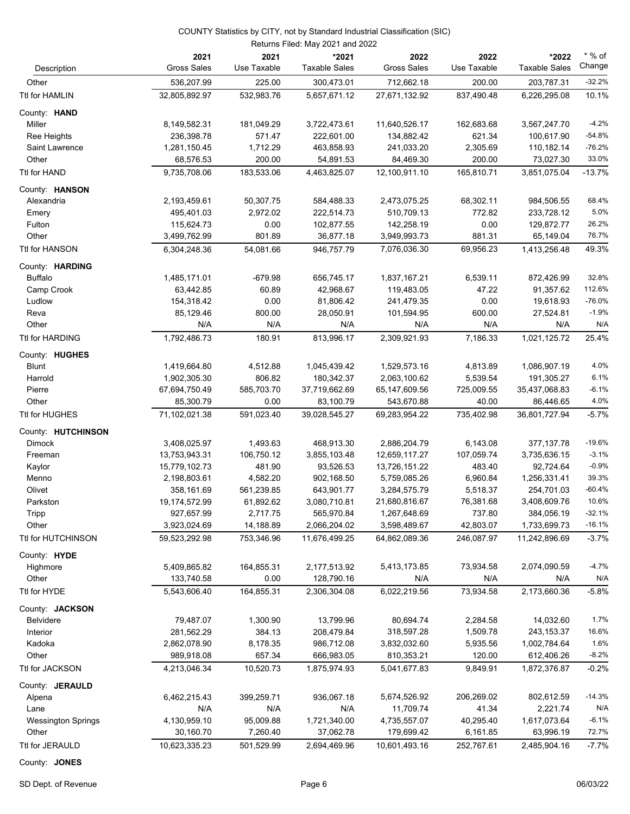| Description               | 2021<br><b>Gross Sales</b>  | 2021<br>Use Taxable     | *2021<br><b>Taxable Sales</b> | 2022<br><b>Gross Sales</b>    | 2022<br>Use Taxable | *2022<br><b>Taxable Sales</b> | $*$ % of<br>Change   |
|---------------------------|-----------------------------|-------------------------|-------------------------------|-------------------------------|---------------------|-------------------------------|----------------------|
| Other                     | 536,207.99                  | 225.00                  | 300,473.01                    | 712,662.18                    | 200.00              | 203,787.31                    | $-32.2%$             |
| Ttl for HAMLIN            | 32,805,892.97               | 532,983.76              | 5,657,671.12                  | 27,671,132.92                 | 837,490.48          | 6,226,295.08                  | 10.1%                |
|                           |                             |                         |                               |                               |                     |                               |                      |
| County: HAND              |                             |                         |                               |                               |                     |                               |                      |
| Miller                    | 8,149,582.31                | 181,049.29              | 3,722,473.61                  | 11,640,526.17                 | 162,683.68          | 3,567,247.70                  | $-4.2%$              |
| Ree Heights               | 236,398.78                  | 571.47                  | 222,601.00                    | 134,882.42                    | 621.34              | 100,617.90                    | $-54.8%$<br>$-76.2%$ |
| Saint Lawrence<br>Other   | 1,281,150.45<br>68,576.53   | 1,712.29<br>200.00      | 463,858.93<br>54,891.53       | 241,033.20<br>84,469.30       | 2,305.69<br>200.00  | 110,182.14<br>73,027.30       | 33.0%                |
| Ttl for HAND              | 9,735,708.06                | 183,533.06              | 4,463,825.07                  | 12,100,911.10                 | 165,810.71          | 3,851,075.04                  | $-13.7%$             |
|                           |                             |                         |                               |                               |                     |                               |                      |
| County: HANSON            |                             |                         |                               |                               |                     |                               |                      |
| Alexandria                | 2,193,459.61                | 50,307.75               | 584,488.33                    | 2,473,075.25                  | 68,302.11           | 984,506.55                    | 68.4%<br>5.0%        |
| Emery<br>Fulton           | 495,401.03<br>115,624.73    | 2,972.02<br>0.00        | 222,514.73<br>102,877.55      | 510,709.13<br>142,258.19      | 772.82<br>0.00      | 233,728.12<br>129,872.77      | 26.2%                |
| Other                     | 3,499,762.99                | 801.89                  | 36,877.18                     | 3,949,993.73                  | 881.31              | 65,149.04                     | 76.7%                |
| Ttl for HANSON            | 6,304,248.36                | 54,081.66               | 946,757.79                    | 7,076,036.30                  | 69,956.23           | 1,413,256.48                  | 49.3%                |
|                           |                             |                         |                               |                               |                     |                               |                      |
| County: HARDING           |                             |                         |                               |                               |                     |                               |                      |
| <b>Buffalo</b>            | 1,485,171.01                | $-679.98$               | 656,745.17                    | 1,837,167.21                  | 6,539.11            | 872,426.99                    | 32.8%                |
| Camp Crook                | 63,442.85                   | 60.89                   | 42,968.67                     | 119,483.05                    | 47.22               | 91,357.62                     | 112.6%               |
| Ludlow                    | 154,318.42                  | 0.00                    | 81,806.42                     | 241,479.35                    | 0.00                | 19,618.93                     | $-76.0%$             |
| Reva<br>Other             | 85,129.46<br>N/A            | 800.00<br>N/A           | 28,050.91<br>N/A              | 101,594.95<br>N/A             | 600.00<br>N/A       | 27,524.81<br>N/A              | $-1.9%$<br>N/A       |
| <b>Ttl for HARDING</b>    | 1,792,486.73                | 180.91                  | 813,996.17                    | 2,309,921.93                  | 7,186.33            |                               | 25.4%                |
|                           |                             |                         |                               |                               |                     | 1,021,125.72                  |                      |
| County: HUGHES            |                             |                         |                               |                               |                     |                               |                      |
| <b>Blunt</b>              | 1,419,664.80                | 4,512.88                | 1,045,439.42                  | 1,529,573.16                  | 4,813.89            | 1,086,907.19                  | 4.0%                 |
| Harrold                   | 1,902,305.30                | 806.82                  | 180,342.37                    | 2,063,100.62                  | 5,539.54            | 191,305.27                    | 6.1%                 |
| Pierre                    | 67,694,750.49               | 585,703.70              | 37,719,662.69                 | 65,147,609.56                 | 725,009.55          | 35,437,068.83                 | $-6.1%$<br>4.0%      |
| Other                     | 85,300.79                   | 0.00                    | 83,100.79                     | 543,670.88                    | 40.00               | 86,446.65                     |                      |
| Ttl for HUGHES            | 71,102,021.38               | 591,023.40              | 39,028,545.27                 | 69,283,954.22                 | 735,402.98          | 36,801,727.94                 | $-5.7%$              |
| County: HUTCHINSON        |                             |                         |                               |                               |                     |                               |                      |
| Dimock                    | 3,408,025.97                | 1,493.63                | 468,913.30                    | 2,886,204.79                  | 6,143.08            | 377,137.78                    | $-19.6%$             |
| Freeman                   | 13,753,943.31               | 106,750.12              | 3,855,103.48                  | 12,659,117.27                 | 107,059.74          | 3,735,636.15                  | $-3.1%$              |
| Kaylor                    | 15,779,102.73               | 481.90                  | 93,526.53                     | 13,726,151.22                 | 483.40              | 92,724.64                     | $-0.9%$              |
| Menno                     | 2,198,803.61                | 4,582.20                | 902,168.50                    | 5,759,085.26                  | 6,960.84            | 1,256,331.41                  | 39.3%                |
| Olivet<br>Parkston        | 358,161.69                  | 561,239.85<br>61,892.62 | 643,901.77<br>3,080,710.81    | 3,284,575.79                  | 5,518.37            | 254,701.03                    | $-60.4%$<br>10.6%    |
| Tripp                     | 19,174,572.99<br>927,657.99 | 2,717.75                | 565,970.84                    | 21,680,816.67<br>1,267,648.69 | 76,381.68<br>737.80 | 3,408,609.76<br>384,056.19    | $-32.1%$             |
| Other                     | 3,923,024.69                | 14,188.89               | 2,066,204.02                  | 3,598,489.67                  | 42,803.07           | 1,733,699.73                  | $-16.1%$             |
| Ttl for HUTCHINSON        | 59,523,292.98               | 753,346.96              | 11,676,499.25                 | 64,862,089.36                 | 246,087.97          | 11,242,896.69                 | $-3.7%$              |
|                           |                             |                         |                               |                               |                     |                               |                      |
| County: HYDE              |                             |                         |                               |                               |                     |                               |                      |
| Highmore                  | 5,409,865.82                | 164,855.31              | 2,177,513.92                  | 5,413,173.85                  | 73,934.58           | 2,074,090.59                  | $-4.7%$<br>N/A       |
| Other                     | 133,740.58                  | 0.00                    | 128,790.16                    | N/A                           | N/A                 | N/A                           |                      |
| Ttl for HYDE              | 5,543,606.40                | 164,855.31              | 2,306,304.08                  | 6,022,219.56                  | 73,934.58           | 2,173,660.36                  | $-5.8%$              |
| County: JACKSON           |                             |                         |                               |                               |                     |                               |                      |
| <b>Belvidere</b>          | 79,487.07                   | 1,300.90                | 13,799.96                     | 80,694.74                     | 2,284.58            | 14,032.60                     | 1.7%                 |
| Interior                  | 281,562.29                  | 384.13                  | 208,479.84                    | 318,597.28                    | 1,509.78            | 243,153.37                    | 16.6%                |
| Kadoka                    | 2,862,078.90                | 8,178.35                | 986,712.08                    | 3,832,032.60                  | 5,935.56            | 1,002,784.64                  | 1.6%                 |
| Other                     | 989,918.08                  | 657.34                  | 666,983.05                    | 810,353.21                    | 120.00              | 612,406.26                    | $-8.2%$              |
| Ttl for JACKSON           | 4,213,046.34                | 10,520.73               | 1,875,974.93                  | 5,041,677.83                  | 9,849.91            | 1,872,376.87                  | $-0.2%$              |
| County: JERAULD           |                             |                         |                               |                               |                     |                               |                      |
| Alpena                    | 6,462,215.43                | 399,259.71              | 936,067.18                    | 5,674,526.92                  | 206,269.02          | 802,612.59                    | $-14.3%$             |
| Lane                      | N/A                         | N/A                     | N/A                           | 11,709.74                     | 41.34               | 2,221.74                      | N/A                  |
| <b>Wessington Springs</b> | 4,130,959.10                | 95,009.88               | 1,721,340.00                  | 4,735,557.07                  | 40,295.40           | 1,617,073.64                  | $-6.1%$              |
| Other                     | 30,160.70                   | 7,260.40                | 37,062.78                     | 179,699.42                    | 6,161.85            | 63,996.19                     | 72.7%                |
| Ttl for JERAULD           | 10,623,335.23               | 501,529.99              | 2,694,469.96                  | 10,601,493.16                 | 252,767.61          | 2,485,904.16                  | $-7.7%$              |

County: **JONES**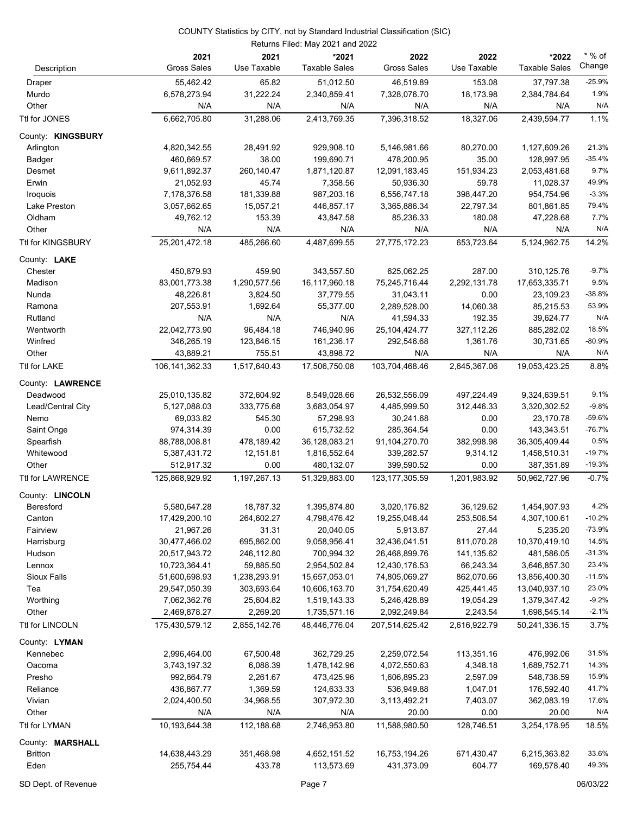|                         | 2021               | 2021            | *2021                | 2022               | 2022         | *2022                | $*$ % of       |
|-------------------------|--------------------|-----------------|----------------------|--------------------|--------------|----------------------|----------------|
| Description             | <b>Gross Sales</b> | Use Taxable     | <b>Taxable Sales</b> | <b>Gross Sales</b> | Use Taxable  | <b>Taxable Sales</b> | Change         |
| Draper                  | 55,462.42          | 65.82           | 51,012.50            | 46,519.89          | 153.08       | 37,797.38            | $-25.9%$       |
| Murdo                   | 6,578,273.94       | 31,222.24       | 2,340,859.41         | 7,328,076.70       | 18,173.98    | 2,384,784.64         | 1.9%           |
| Other                   | N/A                | N/A             | N/A                  | N/A                | N/A          | N/A                  | N/A            |
| Ttl for JONES           | 6,662,705.80       | 31,288.06       | 2,413,769.35         | 7,396,318.52       | 18,327.06    | 2,439,594.77         | 1.1%           |
| County: KINGSBURY       |                    |                 |                      |                    |              |                      |                |
| Arlington               | 4,820,342.55       | 28,491.92       | 929,908.10           | 5,146,981.66       | 80,270.00    | 1,127,609.26         | 21.3%          |
| Badger                  | 460,669.57         | 38.00           | 199,690.71           | 478,200.95         | 35.00        | 128,997.95           | $-35.4%$       |
| Desmet                  | 9,611,892.37       | 260,140.47      | 1,871,120.87         | 12,091,183.45      | 151,934.23   | 2,053,481.68         | 9.7%           |
| Erwin                   | 21,052.93          | 45.74           | 7,358.56             | 50,936.30          | 59.78        | 11,028.37            | 49.9%          |
| Iroquois                | 7,178,376.58       | 181,339.88      | 987,203.16           | 6,556,747.18       | 398,447.20   | 954,754.96           | $-3.3%$        |
| Lake Preston            | 3,057,662.65       | 15,057.21       | 446,857.17           | 3,365,886.34       | 22,797.34    | 801,861.85           | 79.4%          |
| Oldham                  | 49,762.12          | 153.39          | 43,847.58            | 85,236.33          | 180.08       | 47,228.68            | 7.7%           |
| Other                   | N/A                | N/A             | N/A                  | N/A                | N/A          | N/A                  | N/A            |
| Ttl for KINGSBURY       | 25,201,472.18      | 485,266.60      | 4,487,699.55         | 27,775,172.23      | 653,723.64   | 5,124,962.75         | 14.2%          |
| County: <b>LAKE</b>     |                    |                 |                      |                    |              |                      |                |
| Chester                 | 450,879.93         | 459.90          | 343,557.50           | 625,062.25         | 287.00       | 310,125.76           | $-9.7%$        |
| Madison                 | 83,001,773.38      | 1,290,577.56    | 16,117,960.18        | 75,245,716.44      | 2,292,131.78 | 17,653,335.71        | 9.5%           |
| Nunda                   | 48,226.81          | 3,824.50        | 37,779.55            | 31,043.11          | 0.00         | 23,109.23            | $-38.8%$       |
| Ramona                  | 207,553.91         | 1,692.64        | 55,377.00            | 2,289,528.00       | 14,060.38    | 85,215.53            | 53.9%          |
| Rutland                 | N/A                | N/A             | N/A                  | 41,594.33          | 192.35       | 39,624.77            | N/A            |
| Wentworth               | 22,042,773.90      | 96,484.18       | 746,940.96           | 25,104,424.77      | 327,112.26   | 885,282.02           | 18.5%          |
| Winfred                 | 346,265.19         | 123,846.15      | 161,236.17           | 292,546.68         | 1,361.76     | 30,731.65            | $-80.9%$       |
| Other                   | 43,889.21          | 755.51          | 43,898.72            | N/A                | N/A          | N/A                  | N/A            |
| Ttl for LAKE            | 106,141,362.33     | 1,517,640.43    | 17,506,750.08        | 103,704,468.46     | 2,645,367.06 | 19,053,423.25        | 8.8%           |
| County: LAWRENCE        |                    |                 |                      |                    |              |                      |                |
| Deadwood                | 25,010,135.82      | 372,604.92      | 8,549,028.66         | 26,532,556.09      | 497,224.49   | 9,324,639.51         | 9.1%           |
| Lead/Central City       | 5,127,088.03       | 333,775.68      | 3,683,054.97         | 4,485,999.50       | 312,446.33   | 3,320,302.52         | $-9.8%$        |
| Nemo                    | 69,033.82          | 545.30          | 57,298.93            | 30,241.68          | 0.00         | 23,170.78            | $-59.6%$       |
| Saint Onge              | 974,314.39         | 0.00            | 615,732.52           | 285,364.54         | 0.00         | 143,343.51           | $-76.7%$       |
| Spearfish               | 88,788,008.81      | 478,189.42      | 36,128,083.21        | 91,104,270.70      | 382,998.98   | 36,305,409.44        | 0.5%           |
| Whitewood               | 5,387,431.72       | 12,151.81       | 1,816,552.64         | 339,282.57         | 9,314.12     | 1,458,510.31         | $-19.7%$       |
| Other                   | 512,917.32         | 0.00            | 480,132.07           | 399,590.52         | 0.00         | 387,351.89           | $-19.3%$       |
| <b>Ttl for LAWRENCE</b> | 125,868,929.92     | 1, 197, 267. 13 | 51,329,883.00        | 123, 177, 305.59   | 1,201,983.92 | 50,962,727.96        | $-0.7%$        |
| County: LINCOLN         |                    |                 |                      |                    |              |                      |                |
| Beresford               | 5,580,647.28       | 18,787.32       | 1,395,874.80         | 3,020,176.82       | 36,129.62    | 1,454,907.93         | 4.2%           |
| Canton                  | 17,429,200.10      | 264,602.27      | 4,798,476.42         | 19,255,048.44      | 253,506.54   | 4,307,100.61         | $-10.2%$       |
| Fairview                | 21,967.26          | 31.31           | 20,040.05            | 5,913.87           | 27.44        | 5,235.20             | $-73.9%$       |
| Harrisburg              | 30,477,466.02      | 695,862.00      | 9,058,956.41         | 32,436,041.51      | 811,070.28   | 10,370,419.10        | 14.5%          |
| Hudson                  | 20,517,943.72      | 246,112.80      | 700,994.32           | 26,468,899.76      | 141,135.62   | 481,586.05           | $-31.3%$       |
| Lennox                  | 10,723,364.41      | 59,885.50       | 2,954,502.84         | 12,430,176.53      | 66,243.34    | 3,646,857.30         | 23.4%          |
| <b>Sioux Falls</b>      | 51,600,698.93      | 1,238,293.91    | 15,657,053.01        | 74,805,069.27      | 862,070.66   | 13,856,400.30        | $-11.5%$       |
| Tea                     | 29,547,050.39      | 303,693.64      | 10,606,163.70        | 31,754,620.49      | 425,441.45   | 13,040,937.10        | 23.0%          |
| Worthing                | 7,062,362.76       | 25,604.82       | 1,519,143.33         | 5,246,428.89       | 19,054.29    | 1,379,347.42         | $-9.2%$        |
| Other                   | 2,469,878.27       | 2,269.20        | 1,735,571.16         | 2,092,249.84       | 2,243.54     | 1,698,545.14         | $-2.1%$        |
| Ttl for LINCOLN         | 175,430,579.12     | 2,855,142.76    | 48,446,776.04        | 207,514,625.42     | 2,616,922.79 | 50,241,336.15        | 3.7%           |
| County: LYMAN           |                    |                 |                      |                    |              |                      |                |
| Kennebec                | 2,996,464.00       | 67,500.48       | 362,729.25           | 2,259,072.54       | 113,351.16   | 476,992.06           | 31.5%          |
| Oacoma                  | 3,743,197.32       | 6,088.39        | 1,478,142.96         | 4,072,550.63       | 4,348.18     | 1,689,752.71         | 14.3%          |
| Presho                  | 992,664.79         | 2,261.67        | 473,425.96           | 1,606,895.23       | 2,597.09     | 548,738.59           | 15.9%          |
| Reliance                | 436,867.77         | 1,369.59        | 124,633.33           | 536,949.88         | 1,047.01     | 176,592.40           | 41.7%          |
| Vivian                  | 2,024,400.50       | 34,968.55       | 307,972.30           | 3,113,492.21       | 7,403.07     | 362,083.19           | 17.6%          |
| Other                   | N/A                | N/A             | N/A                  | 20.00              | 0.00         | 20.00                | N/A            |
| Ttl for LYMAN           | 10,193,644.38      | 112,188.68      | 2,746,953.80         | 11,588,980.50      | 128,746.51   | 3,254,178.95         | 18.5%          |
| County: MARSHALL        |                    |                 |                      |                    |              |                      |                |
| <b>Britton</b>          | 14,638,443.29      | 351,468.98      | 4,652,151.52         | 16,753,194.26      | 671,430.47   | 6,215,363.82         | 33.6%<br>49.3% |
| Eden                    | 255,754.44         | 433.78          | 113,573.69           | 431,373.09         | 604.77       | 169,578.40           |                |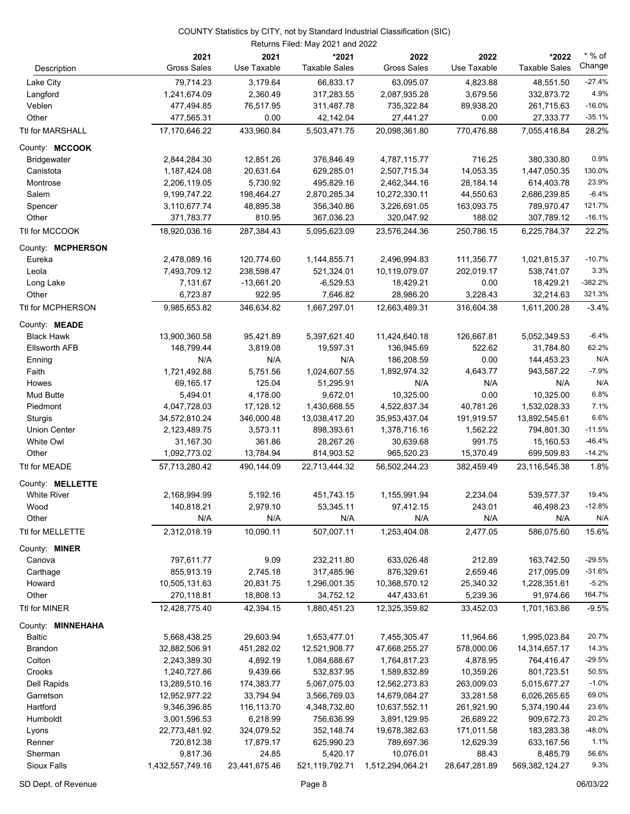| Description          | 2021<br><b>Gross Sales</b> | 2021<br>Use Taxable | *2021<br><b>Taxable Sales</b> | 2022<br><b>Gross Sales</b> | 2022<br>Use Taxable | *2022<br><b>Taxable Sales</b> | $*$ % of<br>Change |
|----------------------|----------------------------|---------------------|-------------------------------|----------------------------|---------------------|-------------------------------|--------------------|
| Lake City            | 79,714.23                  | 3,179.64            | 66,833.17                     | 63,095.07                  | 4,823.88            | 48,551.50                     | $-27.4%$           |
| Langford             | 1,241,674.09               | 2,360.49            | 317,283.55                    | 2,087,935.28               | 3,679.56            | 332,873.72                    | 4.9%               |
| Veblen               | 477,494.85                 | 76,517.95           | 311,487.78                    | 735,322.84                 | 89,938.20           | 261,715.63                    | $-16.0%$           |
| Other                | 477,565.31                 | 0.00                | 42,142.04                     | 27,441.27                  | 0.00                | 27,333.77                     | $-35.1%$           |
| Ttl for MARSHALL     | 17,170,646.22              | 433,960.84          | 5,503,471.75                  | 20,098,361.80              | 770,476.88          | 7,055,416.84                  | 28.2%              |
|                      |                            |                     |                               |                            |                     |                               |                    |
| County: MCCOOK       |                            |                     |                               |                            |                     |                               |                    |
| <b>Bridgewater</b>   | 2,844,284.30               | 12,851.26           | 376,846.49                    | 4,787,115.77               | 716.25              | 380,330.80                    | 0.9%               |
| Canistota            | 1,187,424.08               | 20,631.64           | 629,285.01                    | 2,507,715.34               | 14,053.35           | 1,447,050.35                  | 130.0%             |
| Montrose             | 2,206,119.05               | 5,730.92            | 495,829.16                    | 2,462,344.16               | 28,184.14           | 614,403.78                    | 23.9%              |
| Salem                | 9,199,747.22               | 198,464.27          | 2,870,285.34                  | 10,272,330.11              | 44,550.63           | 2,686,239.85                  | $-6.4%$            |
| Spencer              | 3,110,677.74               | 48,895.38           | 356,340.86                    | 3,226,691.05               | 163,093.75          | 789,970.47                    | 121.7%             |
| Other                | 371,783.77                 | 810.95              | 367,036.23                    | 320,047.92                 | 188.02              | 307,789.12                    | $-16.1%$           |
| Ttl for MCCOOK       | 18,920,036.16              | 287,384.43          | 5,095,623.09                  | 23,576,244.36              | 250,786.15          | 6,225,784.37                  | 22.2%              |
| County: MCPHERSON    |                            |                     |                               |                            |                     |                               |                    |
| Eureka               | 2,478,089.16               | 120,774.60          | 1,144,855.71                  | 2,496,994.83               | 111,356.77          | 1,021,815.37                  | $-10.7%$           |
| Leola                | 7,493,709.12               | 238,598.47          | 521,324.01                    | 10,119,079.07              | 202,019.17          | 538,741.07                    | 3.3%               |
| Long Lake            | 7,131.67                   | $-13,661.20$        | $-6,529.53$                   | 18,429.21                  | 0.00                | 18,429.21                     | $-382.2%$          |
| Other                | 6,723.87                   | 922.95              | 7,646.82                      | 28,986.20                  | 3,228.43            | 32,214.63                     | 321.3%             |
| Ttl for MCPHERSON    | 9,985,653.82               | 346,634.82          | 1,667,297.01                  | 12,663,489.31              | 316,604.38          | 1,611,200.28                  | $-3.4%$            |
| County: MEADE        |                            |                     |                               |                            |                     |                               |                    |
| <b>Black Hawk</b>    | 13,900,360.58              | 95,421.89           | 5,397,621.40                  | 11,424,640.18              | 126,667.81          | 5,052,349.53                  | $-6.4%$            |
| <b>Ellsworth AFB</b> | 148,799.44                 | 3,819.08            | 19,597.31                     | 136,945.69                 | 522.62              | 31,784.80                     | 62.2%              |
| Enning               | N/A                        | N/A                 | N/A                           | 186,208.59                 | 0.00                | 144,453.23                    | N/A                |
| Faith                | 1,721,492.88               | 5,751.56            | 1,024,607.55                  | 1,892,974.32               | 4,643.77            | 943,587.22                    | $-7.9%$            |
| Howes                | 69,165.17                  | 125.04              | 51,295.91                     | N/A                        | N/A                 | N/A                           | N/A                |
| Mud Butte            | 5,494.01                   | 4,178.00            | 9,672.01                      | 10,325.00                  | 0.00                | 10,325.00                     | 6.8%               |
| Piedmont             | 4,047,728.03               | 17,128.12           | 1,430,668.55                  | 4,522,837.34               | 40,781.26           | 1,532,028.33                  | 7.1%               |
| Sturgis              | 34,572,810.24              | 346,000.48          | 13,038,417.20                 | 35,953,437.04              | 191,919.57          | 13,892,545.61                 | 6.6%               |
| <b>Union Center</b>  | 2,123,489.75               | 3,573.11            | 898,393.61                    | 1,378,716.16               | 1,562.22            | 794,801.30                    | $-11.5%$           |
| White Owl            | 31,167.30                  | 361.86              | 28,267.26                     | 30,639.68                  | 991.75              | 15,160.53                     | $-46.4%$           |
| Other                | 1,092,773.02               | 13,784.94           | 814,903.52                    | 965,520.23                 | 15,370.49           | 699,509.83                    | $-14.2%$           |
| Ttl for MEADE        | 57,713,280.42              | 490,144.09          | 22,713,444.32                 | 56,502,244.23              | 382,459.49          | 23,116,545.38                 | 1.8%               |
| County: MELLETTE     |                            |                     |                               |                            |                     |                               |                    |
| <b>White River</b>   | 2,168,994.99               | 5,192.16            | 451,743.15                    | 1,155,991.94               | 2,234.04            | 539,577.37                    | 19.4%              |
| Wood                 | 140,818.21                 | 2,979.10            | 53,345.11                     | 97,412.15                  | 243.01              | 46,498.23                     | $-12.8%$           |
| Other                | N/A                        | N/A                 | N/A                           | N/A                        | N/A                 | N/A                           | N/A                |
| Ttl for MELLETTE     | 2,312,018.19               | 10,090.11           | 507,007.11                    | 1,253,404.08               | 2,477.05            | 586,075.60                    | 15.6%              |
| County: MINER        |                            |                     |                               |                            |                     |                               |                    |
| Canova               | 797,611.77                 | 9.09                | 232,211.80                    | 633,026.48                 | 212.89              | 163,742.50                    | $-29.5%$           |
| Carthage             | 855,913.19                 | 2,745.18            | 317,485.96                    | 876,329.61                 | 2,659.46            | 217,095.09                    | $-31.6%$           |
| Howard               | 10,505,131.63              | 20,831.75           | 1,296,001.35                  | 10,368,570.12              | 25,340.32           | 1,228,351.61                  | $-5.2%$            |
| Other                | 270,118.81                 | 18,808.13           | 34,752.12                     | 447,433.61                 | 5,239.36            | 91,974.66                     | 164.7%             |
| Ttl for MINER        | 12,428,775.40              | 42,394.15           | 1,880,451.23                  | 12,325,359.82              | 33,452.03           | 1,701,163.86                  | $-9.5%$            |
| County: MINNEHAHA    |                            |                     |                               |                            |                     |                               |                    |
| <b>Baltic</b>        | 5,668,438.25               | 29,603.94           | 1,653,477.01                  | 7,455,305.47               | 11,964.66           | 1,995,023.84                  | 20.7%              |
| <b>Brandon</b>       | 32,882,506.91              | 451,282.02          | 12,521,908.77                 | 47,668,255.27              | 578,000.06          | 14,314,657.17                 | 14.3%              |
| Colton               | 2,243,389.30               | 4,892.19            | 1,084,688.67                  | 1,764,817.23               | 4,878.95            | 764,416.47                    | $-29.5%$           |
| Crooks               | 1,240,727.86               | 9,439.66            | 532,837.95                    | 1,589,832.89               | 10,359.26           | 801,723.51                    | 50.5%              |
| Dell Rapids          | 13,289,510.16              | 174,383.77          | 5,067,075.03                  | 12,562,273.83              | 263,009.03          | 5,015,677.27                  | $-1.0%$            |
| Garretson            | 12,952,977.22              | 33,794.94           | 3,566,769.03                  | 14,679,084.27              | 33,281.58           | 6,026,265.65                  | 69.0%              |
| Hartford             | 9,346,396.85               | 116,113.70          | 4,348,732.80                  | 10,637,552.11              | 261,921.90          | 5,374,190.44                  | 23.6%              |
| Humboldt             | 3,001,596.53               | 6,218.99            | 756,636.99                    | 3,891,129.95               | 26,689.22           | 909,672.73                    | 20.2%              |
| Lyons                | 22,773,481.92              | 324,079.52          | 352,148.74                    | 19,678,382.63              | 171,011.58          | 183,283.38                    | $-48.0%$           |
| Renner               | 720,812.38                 | 17,879.17           | 625,990.23                    | 789,697.36                 | 12,629.39           | 633,167.56                    | 1.1%               |
| Sherman              | 9,817.36                   | 24.85               | 5,420.17                      | 10,076.01                  | 88.43               | 8,485.79                      | 56.6%              |
| Sioux Falls          | 1,432,557,749.16           | 23,441,675.46       | 521,119,792.71                | 1,512,294,064.21           | 28,647,281.89       | 569,382,124.27                | 9.3%               |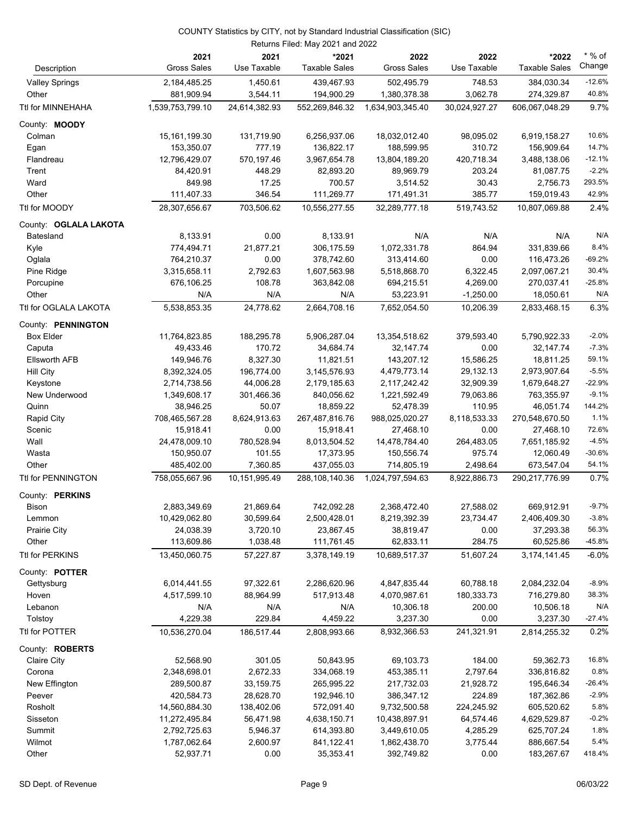|                       |                            |                     | Returns Filed: May 2021 and 2022 |                            |                     |                               |                    |
|-----------------------|----------------------------|---------------------|----------------------------------|----------------------------|---------------------|-------------------------------|--------------------|
| Description           | 2021<br><b>Gross Sales</b> | 2021<br>Use Taxable | *2021<br><b>Taxable Sales</b>    | 2022<br><b>Gross Sales</b> | 2022<br>Use Taxable | *2022<br><b>Taxable Sales</b> | $*$ % of<br>Change |
| <b>Valley Springs</b> | 2,184,485.25               | 1,450.61            | 439,467.93                       | 502,495.79                 | 748.53              | 384,030.34                    | $-12.6%$           |
| Other                 | 881,909.94                 | 3,544.11            | 194,900.29                       | 1,380,378.38               | 3,062.78            | 274,329.87                    | 40.8%              |
| Ttl for MINNEHAHA     | 1,539,753,799.10           | 24,614,382.93       | 552,269,846.32                   | 1,634,903,345.40           | 30,024,927.27       | 606,067,048.29                | 9.7%               |
| County: MOODY         |                            |                     |                                  |                            |                     |                               |                    |
| Colman                | 15, 161, 199. 30           | 131,719.90          | 6,256,937.06                     | 18,032,012.40              | 98,095.02           | 6,919,158.27                  | 10.6%              |
| Egan                  | 153,350.07                 | 777.19              | 136,822.17                       | 188,599.95                 | 310.72              | 156,909.64                    | 14.7%              |
| Flandreau             | 12,796,429.07              | 570,197.46          | 3,967,654.78                     | 13,804,189.20              | 420,718.34          | 3,488,138.06                  | $-12.1%$           |
| Trent                 | 84,420.91                  | 448.29              | 82.893.20                        | 89,969.79                  | 203.24              | 81,087.75                     | $-2.2%$            |
| Ward                  | 849.98                     | 17.25               | 700.57                           | 3,514.52                   | 30.43               | 2,756.73                      | 293.5%             |
| Other                 | 111,407.33                 | 346.54              | 111,269.77                       | 171,491.31                 | 385.77              | 159,019.43                    | 42.9%              |
| Ttl for MOODY         | 28,307,656.67              | 703,506.62          | 10,556,277.55                    | 32,289,777.18              | 519,743.52          | 10,807,069.88                 | 2.4%               |
| County: OGLALA LAKOTA |                            |                     |                                  |                            |                     |                               |                    |
| Batesland             | 8,133.91                   | 0.00                | 8,133.91                         | N/A                        | N/A                 | N/A                           | N/A                |
| Kyle                  | 774,494.71                 | 21,877.21           | 306,175.59                       | 1,072,331.78               | 864.94              | 331,839.66                    | 8.4%               |
| Oglala                | 764,210.37                 | 0.00                | 378,742.60                       | 313,414.60                 | 0.00                | 116,473.26                    | $-69.2%$           |
| Pine Ridge            | 3,315,658.11               | 2,792.63            | 1,607,563.98                     | 5,518,868.70               | 6,322.45            | 2,097,067.21                  | 30.4%              |
| Porcupine             | 676,106.25                 | 108.78              | 363,842.08                       | 694,215.51                 | 4,269.00            | 270,037.41                    | $-25.8%$           |
| Other                 | N/A                        | N/A                 | N/A                              | 53,223.91                  | $-1,250.00$         | 18,050.61                     | N/A                |
| Ttl for OGLALA LAKOTA | 5,538,853.35               | 24,778.62           | 2,664,708.16                     | 7,652,054.50               | 10,206.39           | 2,833,468.15                  | 6.3%               |
| County: PENNINGTON    |                            |                     |                                  |                            |                     |                               |                    |
| <b>Box Elder</b>      | 11,764,823.85              | 188,295.78          | 5,906,287.04                     | 13,354,518.62              | 379,593.40          | 5,790,922.33                  | $-2.0%$            |
| Caputa                | 49,433.46                  | 170.72              | 34,684.74                        | 32,147.74                  | 0.00                | 32,147.74                     | $-7.3%$            |
| <b>Ellsworth AFB</b>  | 149,946.76                 | 8,327.30            | 11,821.51                        | 143,207.12                 | 15,586.25           | 18,811.25                     | 59.1%              |
| Hill City             | 8,392,324.05               | 196,774.00          | 3,145,576.93                     | 4,479,773.14               | 29,132.13           | 2,973,907.64                  | $-5.5%$            |
| Keystone              | 2,714,738.56               | 44,006.28           | 2,179,185.63                     | 2,117,242.42               | 32,909.39           | 1,679,648.27                  | $-22.9%$           |
| New Underwood         | 1,349,608.17               | 301,466.36          | 840,056.62                       | 1,221,592.49               | 79,063.86           | 763,355.97                    | $-9.1%$            |
| Quinn                 | 38,946.25                  | 50.07               | 18,859.22                        | 52,478.39                  | 110.95              | 46,051.74                     | 144.2%             |
| Rapid City            | 708,465,567.28             | 8,624,913.63        | 267,487,816.76                   | 988,025,020.27             | 8,118,533.33        | 270,548,670.50                | 1.1%               |
| Scenic                | 15,918.41                  | 0.00                | 15,918.41                        | 27,468.10                  | 0.00                | 27,468.10                     | 72.6%              |
| Wall                  | 24,478,009.10              | 780,528.94          | 8,013,504.52                     | 14,478,784.40              | 264,483.05          | 7,651,185.92                  | $-4.5%$            |
| Wasta                 | 150,950.07                 | 101.55              | 17,373.95                        | 150,556.74                 | 975.74              | 12,060.49                     | $-30.6%$           |
| Other                 | 485,402.00                 | 7,360.85            | 437,055.03                       | 714,805.19                 | 2,498.64            | 673,547.04                    | 54.1%              |
| Ttl for PENNINGTON    | 758,055,667.96             | 10,151,995.49       | 288,108,140.36                   | 1,024,797,594.63           | 8,922,886.73        | 290,217,776.99                | 0.7%               |
| County: PERKINS       |                            |                     |                                  |                            |                     |                               |                    |
| <b>Bison</b>          | 2,883,349.69               | 21,869.64           | 742,092.28                       | 2,368,472.40               | 27,588.02           | 669,912.91                    | $-9.7%$            |
| Lemmon                | 10,429,062.80              | 30,599.64           | 2,500,428.01                     | 8,219,392.39               | 23,734.47           | 2,406,409.30                  | $-3.8%$            |
| Prairie City          | 24,038.39                  | 3,720.10            | 23,867.45                        | 38,819.47                  | 0.00                | 37,293.38                     | 56.3%              |
| Other                 | 113,609.86                 | 1,038.48            | 111,761.45                       | 62,833.11                  | 284.75              | 60,525.86                     | $-45.8%$           |
| Ttl for PERKINS       | 13,450,060.75              | 57,227.87           | 3,378,149.19                     | 10,689,517.37              | 51,607.24           | 3,174,141.45                  | $-6.0%$            |
| County: POTTER        |                            |                     |                                  |                            |                     |                               |                    |
| Gettysburg            | 6,014,441.55               | 97,322.61           | 2,286,620.96                     | 4,847,835.44               | 60,788.18           | 2,084,232.04                  | $-8.9%$            |
| Hoven                 | 4,517,599.10               | 88,964.99           | 517,913.48                       | 4,070,987.61               | 180,333.73          | 716,279.80                    | 38.3%              |
| Lebanon               | N/A                        | N/A                 | N/A                              | 10,306.18                  | 200.00              | 10,506.18                     | N/A                |
| Tolstoy               | 4,229.38                   | 229.84              | 4,459.22                         | 3,237.30                   | 0.00                | 3,237.30                      | $-27.4%$           |
| Ttl for POTTER        | 10,536,270.04              | 186,517.44          | 2,808,993.66                     | 8,932,366.53               | 241,321.91          | 2,814,255.32                  | 0.2%               |
| County: ROBERTS       |                            |                     |                                  |                            |                     |                               |                    |
| Claire City           | 52,568.90                  | 301.05              | 50,843.95                        | 69,103.73                  | 184.00              | 59,362.73                     | 16.8%              |
| Corona                | 2,348,698.01               | 2,672.33            | 334,068.19                       | 453,385.11                 | 2,797.64            | 336,816.82                    | 0.8%               |
| New Effington         | 289,500.87                 | 33,159.75           | 265,995.22                       | 217,732.03                 | 21,928.72           | 195,646.34                    | $-26.4%$           |
| Peever                | 420,584.73                 | 28,628.70           | 192,946.10                       | 386,347.12                 | 224.89              | 187,362.86                    | $-2.9%$            |
| Rosholt               | 14,560,884.30              | 138,402.06          | 572,091.40                       | 9,732,500.58               | 224,245.92          | 605,520.62                    | 5.8%               |
| Sisseton              | 11,272,495.84              | 56,471.98           | 4,638,150.71                     | 10,438,897.91              | 64,574.46           | 4,629,529.87                  | $-0.2%$            |
| Summit                | 2,792,725.63               | 5,946.37            | 614,393.80                       | 3,449,610.05               | 4,285.29            | 625,707.24                    | 1.8%               |
| Wilmot                | 1,787,062.64               | 2,600.97            | 841,122.41                       | 1,862,438.70               | 3,775.44            | 886,667.54                    | 5.4%               |
| Other                 | 52,937.71                  | 0.00                | 35,353.41                        | 392,749.82                 | 0.00                | 183,267.67                    | 418.4%             |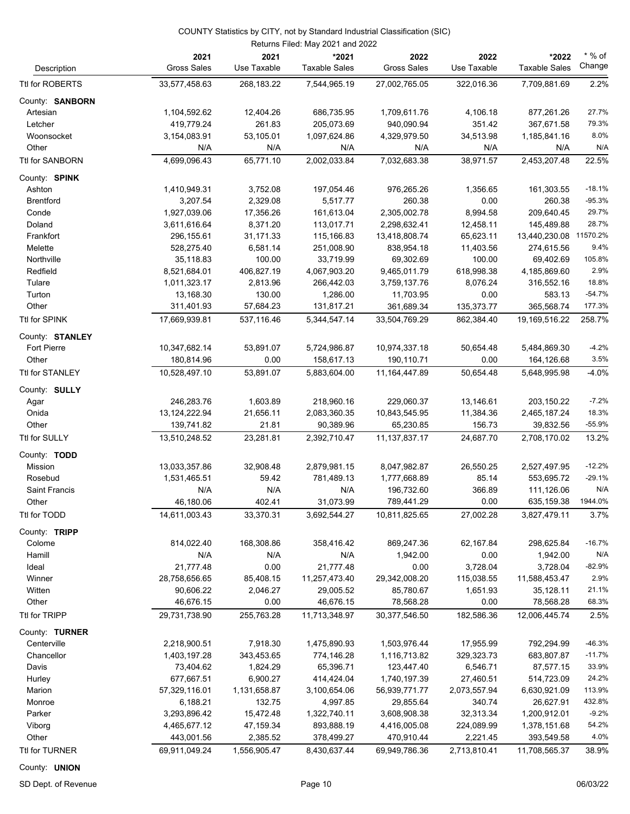|                         |                               |                     | Returns Filed: May 2021 and 2022 |                              |                     |                               |                    |
|-------------------------|-------------------------------|---------------------|----------------------------------|------------------------------|---------------------|-------------------------------|--------------------|
| Description             | 2021<br><b>Gross Sales</b>    | 2021<br>Use Taxable | *2021<br><b>Taxable Sales</b>    | 2022<br><b>Gross Sales</b>   | 2022<br>Use Taxable | *2022<br><b>Taxable Sales</b> | $*$ % of<br>Change |
| Ttl for ROBERTS         | 33,577,458.63                 | 268, 183. 22        | 7,544,965.19                     | 27,002,765.05                | 322,016.36          | 7,709,881.69                  | 2.2%               |
| County: SANBORN         |                               |                     |                                  |                              |                     |                               |                    |
| Artesian                | 1,104,592.62                  | 12,404.26           | 686,735.95                       | 1,709,611.76                 | 4,106.18            | 877,261.26                    | 27.7%              |
| Letcher                 | 419,779.24                    | 261.83              | 205,073.69                       | 940,090.94                   | 351.42              | 367,671.58                    | 79.3%              |
| Woonsocket              | 3,154,083.91                  | 53,105.01           | 1,097,624.86                     | 4,329,979.50                 | 34,513.98           | 1,185,841.16                  | 8.0%               |
| Other                   | N/A                           | N/A                 | N/A                              | N/A                          | N/A                 | N/A                           | N/A                |
| Ttl for SANBORN         | 4,699,096.43                  | 65.771.10           | 2,002,033.84                     | 7,032,683.38                 | 38,971.57           | 2,453,207.48                  | 22.5%              |
| County: SPINK           |                               |                     |                                  |                              |                     |                               |                    |
| Ashton                  | 1,410,949.31                  | 3,752.08            | 197,054.46                       | 976,265.26                   | 1,356.65            | 161,303.55                    | $-18.1%$           |
| <b>Brentford</b>        | 3,207.54                      | 2,329.08            | 5,517.77                         | 260.38                       | 0.00                | 260.38                        | $-95.3%$           |
| Conde                   | 1,927,039.06                  | 17,356.26           | 161,613.04                       | 2,305,002.78                 | 8,994.58            | 209,640.45                    | 29.7%              |
| Doland                  | 3,611,616.64                  | 8,371.20            | 113,017.71                       | 2,298,632.41                 | 12,458.11           | 145,489.88                    | 28.7%              |
| Frankfort               | 296, 155.61                   | 31,171.33           | 115,166.83                       | 13,418,808.74                | 65,623.11           | 13,440,230.08                 | 11570.2%           |
| Melette                 | 528,275.40                    | 6,581.14            | 251,008.90                       | 838,954.18                   | 11,403.56           | 274,615.56                    | 9.4%               |
| Northville              | 35,118.83                     | 100.00              | 33,719.99                        | 69,302.69                    | 100.00              | 69,402.69                     | 105.8%             |
| Redfield                | 8,521,684.01                  | 406,827.19          | 4,067,903.20                     | 9,465,011.79                 | 618,998.38          | 4,185,869.60                  | 2.9%               |
| Tulare                  | 1,011,323.17                  | 2,813.96            | 266,442.03                       | 3,759,137.76                 | 8,076.24            | 316,552.16                    | 18.8%              |
| Turton                  | 13,168.30                     | 130.00              | 1,286.00                         | 11,703.95                    | 0.00                | 583.13                        | $-54.7%$           |
| Other                   | 311,401.93                    | 57,684.23           | 131,817.21                       | 361,689.34                   | 135,373.77          | 365,568.74                    | 177.3%             |
| Ttl for SPINK           | 17,669,939.81                 | 537,116.46          | 5,344,547.14                     | 33,504,769.29                | 862,384.40          | 19,169,516.22                 | 258.7%             |
| County: STANLEY         |                               |                     |                                  |                              |                     |                               |                    |
| Fort Pierre             | 10,347,682.14                 | 53,891.07           | 5,724,986.87                     | 10,974,337.18                | 50,654.48           | 5,484,869.30                  | $-4.2%$            |
| Other                   | 180,814.96                    | 0.00                | 158,617.13                       | 190,110.71                   | 0.00                | 164,126.68                    | 3.5%               |
| Ttl for STANLEY         | 10,528,497.10                 | 53,891.07           | 5,883,604.00                     | 11,164,447.89                | 50,654.48           | 5,648,995.98                  | $-4.0%$            |
| County: SULLY           |                               |                     |                                  |                              |                     |                               |                    |
|                         | 246,283.76                    | 1,603.89            | 218,960.16                       | 229,060.37                   | 13,146.61           | 203,150.22                    | $-7.2%$            |
| Agar<br>Onida           |                               | 21,656.11           | 2,083,360.35                     |                              |                     |                               | 18.3%              |
| Other                   | 13, 124, 222. 94              | 21.81               | 90,389.96                        | 10,843,545.95<br>65,230.85   | 11,384.36<br>156.73 | 2,465,187.24<br>39,832.56     | $-55.9%$           |
| Ttl for SULLY           | 139,741.82<br>13,510,248.52   | 23,281.81           | 2,392,710.47                     | 11, 137, 837. 17             | 24,687.70           | 2,708,170.02                  | 13.2%              |
|                         |                               |                     |                                  |                              |                     |                               |                    |
| County: TODD<br>Mission |                               | 32,908.48           |                                  |                              | 26,550.25           |                               | $-12.2%$           |
| Rosebud                 | 13,033,357.86<br>1,531,465.51 | 59.42               | 2,879,981.15<br>781,489.13       | 8,047,982.87<br>1,777,668.89 |                     | 2,527,497.95<br>553,695.72    | $-29.1%$           |
| Saint Francis           | N/A                           | N/A                 | N/A                              | 196,732.60                   | 85.14<br>366.89     | 111,126.06                    | N/A                |
| Other                   | 46,180.06                     | 402.41              | 31,073.99                        | 789,441.29                   | 0.00                | 635,159.38                    | 1944.0%            |
|                         |                               |                     |                                  |                              |                     |                               |                    |
| Ttl for TODD            | 14,611,003.43                 | 33,370.31           | 3,692,544.27                     | 10,811,825.65                | 27,002.28           | 3,827,479.11                  | 3.7%               |
| County: TRIPP           |                               |                     |                                  |                              |                     |                               |                    |
| Colome                  | 814,022.40                    | 168,308.86          | 358,416.42                       | 869,247.36                   | 62,167.84           | 298,625.84                    | $-16.7%$           |
| Hamill                  | N/A                           | N/A                 | N/A                              | 1,942.00                     | 0.00                | 1,942.00                      | N/A                |
| Ideal                   | 21,777.48                     | 0.00                | 21,777.48                        | 0.00                         | 3,728.04            | 3,728.04                      | $-82.9%$           |
| Winner                  | 28,758,656.65                 | 85,408.15           | 11,257,473.40                    | 29,342,008.20                | 115,038.55          | 11,588,453.47                 | 2.9%               |
| Witten                  | 90,606.22                     | 2,046.27            | 29,005.52                        | 85,780.67                    | 1,651.93            | 35,128.11                     | 21.1%              |
| Other                   | 46,676.15                     | 0.00                | 46,676.15                        | 78,568.28                    | 0.00                | 78,568.28                     | 68.3%              |
| Ttl for TRIPP           | 29,731,738.90                 | 255,763.28          | 11,713,348.97                    | 30,377,546.50                | 182,586.36          | 12,006,445.74                 | 2.5%               |
| County: TURNER          |                               |                     |                                  |                              |                     |                               |                    |
| Centerville             | 2,218,900.51                  | 7,918.30            | 1,475,890.93                     | 1,503,976.44                 | 17,955.99           | 792,294.99                    | $-46.3%$           |
| Chancellor              | 1,403,197.28                  | 343,453.65          | 774,146.28                       | 1,116,713.82                 | 329,323.73          | 683,807.87                    | $-11.7%$           |
| Davis                   | 73,404.62                     | 1,824.29            | 65,396.71                        | 123,447.40                   | 6,546.71            | 87,577.15                     | 33.9%              |
| Hurley                  | 677,667.51                    | 6,900.27            | 414,424.04                       | 1,740,197.39                 | 27,460.51           | 514,723.09                    | 24.2%              |
| Marion                  | 57,329,116.01                 | 1,131,658.87        | 3,100,654.06                     | 56,939,771.77                | 2,073,557.94        | 6,630,921.09                  | 113.9%             |
| Monroe                  | 6,188.21                      | 132.75              | 4,997.85                         | 29,855.64                    | 340.74              | 26,627.91                     | 432.8%             |
| Parker                  | 3,293,896.42                  | 15,472.48           | 1,322,740.11                     | 3,608,908.38                 | 32,313.34           | 1,200,912.01                  | $-9.2%$            |
| Viborg                  | 4,465,677.12                  | 47,159.34           | 893,888.19                       | 4,416,005.08                 | 224,089.99          | 1,378,151.68                  | 54.2%              |
| Other                   | 443,001.56                    | 2,385.52            | 378,499.27                       | 470,910.44                   | 2,221.45            | 393,549.58                    | 4.0%               |
| Ttl for TURNER          | 69,911,049.24                 | 1,556,905.47        | 8,430,637.44                     | 69,949,786.36                | 2,713,810.41        | 11,708,565.37                 | 38.9%              |

County: **UNION**